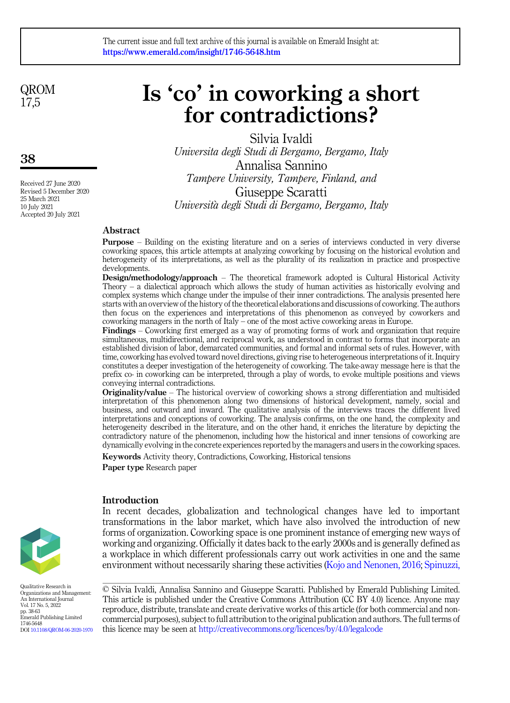QROM 17,5

38

Received 27 June 2020 Revised 5 December 2020 25 March 2021 10 July 2021 Accepted 20 July 2021

# Is 'co' in coworking a short for contradictions?

Silvia Ivaldi Universita degli Studi di Bergamo, Bergamo, Italy Annalisa Sannino Tampere University, Tampere, Finland, and Giuseppe Scaratti Universita degli Studi di Bergamo, Bergamo, Italy

## Abstract

Purpose – Building on the existing literature and on a series of interviews conducted in very diverse coworking spaces, this article attempts at analyzing coworking by focusing on the historical evolution and heterogeneity of its interpretations, as well as the plurality of its realization in practice and prospective developments.

Design/methodology/approach – The theoretical framework adopted is Cultural Historical Activity Theory – a dialectical approach which allows the study of human activities as historically evolving and complex systems which change under the impulse of their inner contradictions. The analysis presented here starts with an overview of the history of the theoretical elaborations and discussions of coworking. The authors then focus on the experiences and interpretations of this phenomenon as conveyed by coworkers and coworking managers in the north of Italy – one of the most active coworking areas in Europe.

Findings – Coworking first emerged as a way of promoting forms of work and organization that require simultaneous, multidirectional, and reciprocal work, as understood in contrast to forms that incorporate an established division of labor, demarcated communities, and formal and informal sets of rules. However, with time, coworking has evolved toward novel directions, giving rise to heterogeneous interpretations of it. Inquiry constitutes a deeper investigation of the heterogeneity of coworking. The take-away message here is that the prefix co- in coworking can be interpreted, through a play of words, to evoke multiple positions and views conveying internal contradictions.

Originality/value – The historical overview of coworking shows a strong differentiation and multisided interpretation of this phenomenon along two dimensions of historical development, namely, social and business, and outward and inward. The qualitative analysis of the interviews traces the different lived interpretations and conceptions of coworking. The analysis confirms, on the one hand, the complexity and heterogeneity described in the literature, and on the other hand, it enriches the literature by depicting the contradictory nature of the phenomenon, including how the historical and inner tensions of coworking are dynamically evolving in the concrete experiences reported by the managers and users in the coworking spaces.

Keywords Activity theory, Contradictions, Coworking, Historical tensions Paper type Research paper

## Introduction

In recent decades, globalization and technological changes have led to important transformations in the labor market, which have also involved the introduction of new forms of organization. Coworking space is one prominent instance of emerging new ways of working and organizing. Officially it dates back to the early 2000s and is generally defined as a workplace in which different professionals carry out work activities in one and the same environment without necessarily sharing these activities [\(Kojo and Nenonen, 2016;](#page-24-0) [Spinuzzi,](#page-25-0)

Qualitative Research in Organizations and Management: An International Journal Vol. 17 No. 5, 2022 pp. 38-63 Emerald Publishing Limited 1746-5648 DOI [10.1108/QROM-06-2020-1970](https://doi.org/10.1108/QROM-06-2020-1970)

© Silvia Ivaldi, Annalisa Sannino and Giuseppe Scaratti. Published by Emerald Publishing Limited. This article is published under the Creative Commons Attribution (CC BY 4.0) licence. Anyone may reproduce, distribute, translate and create derivative works of this article (for both commercial and noncommercial purposes), subject to full attribution to the original publication and authors. The full terms of this licence may be seen at <http://creativecommons.org/licences/by/4.0/legalcode>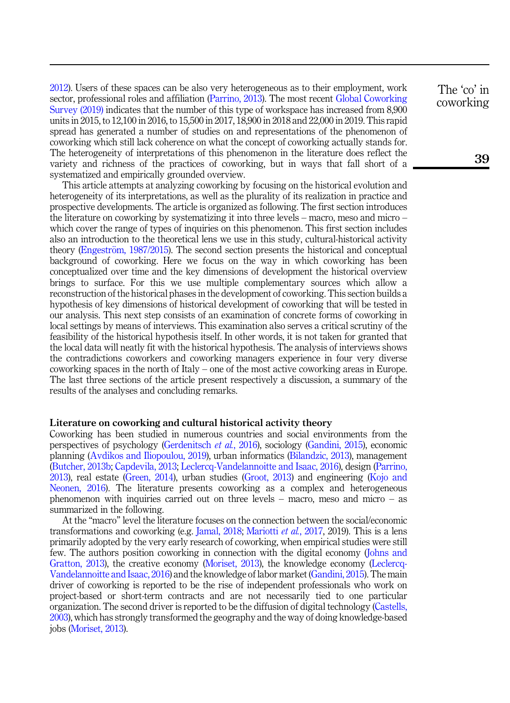[2012\)](#page-25-0). Users of these spaces can be also very heterogeneous as to their employment, work sector, professional roles and affiliation ([Parrino, 2013\)](#page-24-1). The most recent [Global Coworking](#page-23-0) [Survey \(2019\)](#page-23-0) indicates that the number of this type of workspace has increased from 8,900 units in 2015, to 12,100 in 2016, to 15,500 in 2017, 18,900 in 2018 and 22,000 in 2019. This rapid spread has generated a number of studies on and representations of the phenomenon of coworking which still lack coherence on what the concept of coworking actually stands for. The heterogeneity of interpretations of this phenomenon in the literature does reflect the variety and richness of the practices of coworking, but in ways that fall short of a systematized and empirically grounded overview.

This article attempts at analyzing coworking by focusing on the historical evolution and heterogeneity of its interpretations, as well as the plurality of its realization in practice and prospective developments. The article is organized as following. The first section introduces the literature on coworking by systematizing it into three levels – macro, meso and micro – which cover the range of types of inquiries on this phenomenon. This first section includes also an introduction to the theoretical lens we use in this study, cultural-historical activity theory [\(Engestr](#page-23-1)ö[m, 1987/2015](#page-23-1)). The second section presents the historical and conceptual background of coworking. Here we focus on the way in which coworking has been conceptualized over time and the key dimensions of development the historical overview brings to surface. For this we use multiple complementary sources which allow a reconstruction of the historical phases in the development of coworking. This section builds a hypothesis of key dimensions of historical development of coworking that will be tested in our analysis. This next step consists of an examination of concrete forms of coworking in local settings by means of interviews. This examination also serves a critical scrutiny of the feasibility of the historical hypothesis itself. In other words, it is not taken for granted that the local data will neatly fit with the historical hypothesis. The analysis of interviews shows the contradictions coworkers and coworking managers experience in four very diverse coworking spaces in the north of Italy – one of the most active coworking areas in Europe. The last three sections of the article present respectively a discussion, a summary of the results of the analyses and concluding remarks.

## Literature on coworking and cultural historical activity theory

Coworking has been studied in numerous countries and social environments from the perspectives of psychology ([Gerdenitsch](#page-23-2) et al., 2016), sociology ([Gandini, 2015](#page-23-3)), economic planning [\(Avdikos and Iliopoulou, 2019\)](#page-22-0), urban informatics [\(Bilandzic, 2013\)](#page-22-1), management ([Butcher, 2013b](#page-22-1); [Capdevila, 2013](#page-22-2); [Leclercq-Vandelannoitte and Isaac, 2016\)](#page-24-2), design ([Parrino,](#page-24-1) [2013\)](#page-24-1), real estate [\(Green, 2014\)](#page-23-4), urban studies ([Groot, 2013\)](#page-23-5) and engineering [\(Kojo and](#page-24-0) [Neonen, 2016](#page-24-0)). The literature presents coworking as a complex and heterogeneous phenomenon with inquiries carried out on three levels – macro, meso and micro – as summarized in the following.

At the "macro" level the literature focuses on the connection between the social/economic transformations and coworking (e.g. [Jamal, 2018;](#page-24-3) [Mariotti](#page-24-4) *et al.*, 2017, 2019). This is a lens primarily adopted by the very early research of coworking, when empirical studies were still few. The authors position coworking in connection with the digital economy ([Johns and](#page-24-5) [Gratton, 2013](#page-24-5)), the creative economy ([Moriset, 2013\)](#page-24-6), the knowledge economy ([Leclercq-](#page-24-2)[Vandelannoitte and Isaac, 2016](#page-24-2)) and the knowledge of labor market [\(Gandini, 2015](#page-23-3)). The main driver of coworking is reported to be the rise of independent professionals who work on project-based or short-term contracts and are not necessarily tied to one particular organization. The second driver is reported to be the diffusion of digital technology ([Castells,](#page-22-3) [2003\)](#page-22-3), which has strongly transformed the geography and the way of doing knowledge-based jobs ([Moriset, 2013\)](#page-24-6).

The 'co' in coworking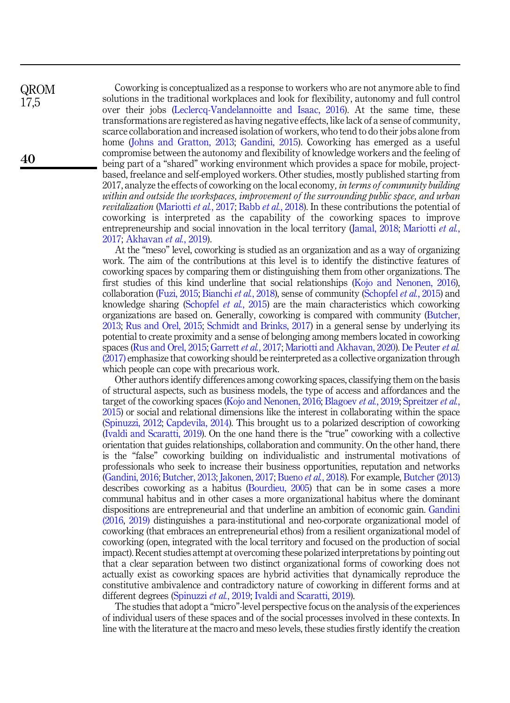QROM 17,5

40

Coworking is conceptualized as a response to workers who are not anymore able to find solutions in the traditional workplaces and look for flexibility, autonomy and full control over their jobs ([Leclercq-Vandelannoitte and Isaac, 2016](#page-24-2)). At the same time, these transformations are registered as having negative effects, like lack of a sense of community, scarce collaboration and increased isolation of workers, who tend to do their jobs alone from home ([Johns and Gratton, 2013;](#page-24-5) [Gandini, 2015](#page-23-3)). Coworking has emerged as a useful compromise between the autonomy and flexibility of knowledge workers and the feeling of being part of a "shared" working environment which provides a space for mobile, projectbased, freelance and self-employed workers. Other studies, mostly published starting from 2017, analyze the effects of coworking on the local economy, in terms of community building within and outside the workspaces, improvement of the surrounding public space, and urban revitalization [\(Mariotti](#page-24-4) et al., 2017; Babb et al.[, 2018\)](#page-22-4). In these contributions the potential of coworking is interpreted as the capability of the coworking spaces to improve entrepreneurship and social innovation in the local territory [\(Jamal, 2018](#page-24-3); [Mariotti](#page-24-4) *et al.*, [2017](#page-24-4); [Akhavan](#page-22-5) et al., 2019).

At the "meso" level, coworking is studied as an organization and as a way of organizing work. The aim of the contributions at this level is to identify the distinctive features of coworking spaces by comparing them or distinguishing them from other organizations. The first studies of this kind underline that social relationships [\(Kojo and Nenonen, 2016\)](#page-24-0), collaboration [\(Fuzi, 2015;](#page-23-6) [Bianchi](#page-22-6) et al., 2018), sense of community ([Schopfel](#page-25-1) et al., 2015) and knowledge sharing ([Schopfel](#page-25-1) *et al.*, 2015) are the main characteristics which coworking organizations are based on. Generally, coworking is compared with community [\(Butcher,](#page-22-7) [2013;](#page-22-7) [Rus and Orel, 2015;](#page-24-7) [Schmidt and Brinks, 2017](#page-24-8)) in a general sense by underlying its potential to create proximity and a sense of belonging among members located in coworking spaces ([Rus and Orel, 2015;](#page-24-7) [Garrett](#page-23-7) et al., 2017; [Mariotti and Akhavan, 2020\)](#page-24-9). [De Peuter](#page-22-8) et al. [\(2017\)](#page-22-8) emphasize that coworking should be reinterpreted as a collective organization through which people can cope with precarious work.

Other authors identify differences among coworking spaces, classifying them on the basis of structural aspects, such as business models, the type of access and affordances and the target of the coworking spaces [\(Kojo and Nenonen, 2016](#page-24-0); [Blagoev](#page-22-9) et al., 2019; [Spreitzer](#page-25-2) et al., [2015\)](#page-25-2) or social and relational dimensions like the interest in collaborating within the space ([Spinuzzi, 2012](#page-25-0); [Capdevila, 2014](#page-22-10)). This brought us to a polarized description of coworking ([Ivaldi and Scaratti, 2019](#page-24-10)). On the one hand there is the "true" coworking with a collective orientation that guides relationships, collaboration and community. On the other hand, there is the "false" coworking building on individualistic and instrumental motivations of professionals who seek to increase their business opportunities, reputation and networks ([Gandini, 2016](#page-23-8); [Butcher, 2013;](#page-22-7) [Jakonen, 2017;](#page-24-11) [Bueno](#page-22-11) et al., 2018). For example, [Butcher \(2013\)](#page-22-7) describes coworking as a habitus [\(Bourdieu, 2005](#page-22-12)) that can be in some cases a more communal habitus and in other cases a more organizational habitus where the dominant dispositions are entrepreneurial and that underline an ambition of economic gain. [Gandini](#page-23-8) [\(2016](#page-23-8), [2019\)](#page-23-9) distinguishes a para-institutional and neo-corporate organizational model of coworking (that embraces an entrepreneurial ethos) from a resilient organizational model of coworking (open, integrated with the local territory and focused on the production of social impact). Recent studies attempt at overcoming these polarized interpretations by pointing out that a clear separation between two distinct organizational forms of coworking does not actually exist as coworking spaces are hybrid activities that dynamically reproduce the constitutive ambivalence and contradictory nature of coworking in different forms and at different degrees ([Spinuzzi](#page-25-3) et al., 2019; [Ivaldi and Scaratti, 2019](#page-24-10)).

The studies that adopt a "micro"-level perspective focus on the analysis of the experiences of individual users of these spaces and of the social processes involved in these contexts. In line with the literature at the macro and meso levels, these studies firstly identify the creation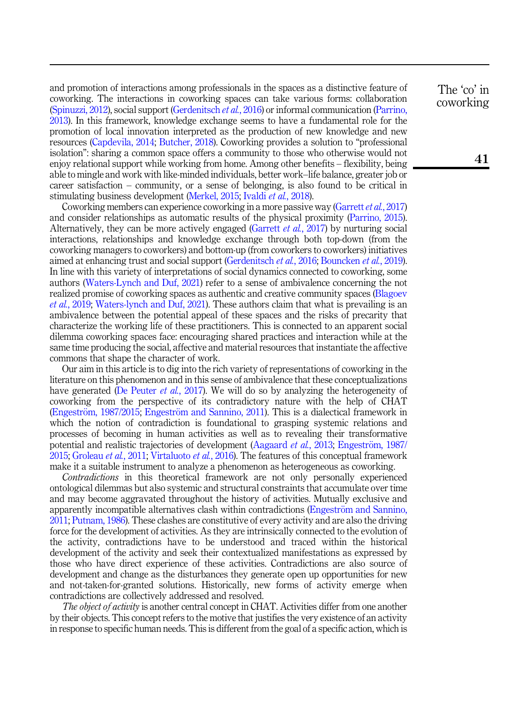and promotion of interactions among professionals in the spaces as a distinctive feature of coworking. The interactions in coworking spaces can take various forms: collaboration ([Spinuzzi, 2012](#page-25-0)), social support ([Gerdenitsch](#page-23-2) et al., 2016) or informal communication ([Parrino,](#page-24-1) [2013\)](#page-24-1). In this framework, knowledge exchange seems to have a fundamental role for the promotion of local innovation interpreted as the production of new knowledge and new resources [\(Capdevila, 2014](#page-22-10); [Butcher, 2018\)](#page-22-13). Coworking provides a solution to "professional isolation": sharing a common space offers a community to those who otherwise would not enjoy relational support while working from home. Among other benefits – flexibility, being able to mingle and work with like-minded individuals, better work–life balance, greater job or career satisfaction – community, or a sense of belonging, is also found to be critical in stimulating business development ([Merkel, 2015](#page-24-12); Ivaldi *et al.*[, 2018](#page-24-13)).

Coworking members can experience coworking in a more passive way ([Garrett](#page-23-7) *et al.*, 2017) and consider relationships as automatic results of the physical proximity [\(Parrino, 2015\)](#page-24-14). Alternatively, they can be more actively engaged ([Garrett](#page-23-7) et al., 2017) by nurturing social interactions, relationships and knowledge exchange through both top-down (from the coworking managers to coworkers) and bottom-up (from coworkers to coworkers) initiatives aimed at enhancing trust and social support ([Gerdenitsch](#page-23-2) et al., 2016; [Bouncken](#page-22-14) et al., 2019). In line with this variety of interpretations of social dynamics connected to coworking, some authors ([Waters-Lynch and Duf, 2021\)](#page-25-4) refer to a sense of ambivalence concerning the not realized promise of coworking spaces as authentic and creative community spaces [\(Blagoev](#page-22-9) et al.[, 2019;](#page-22-9) [Waters-lynch and Duf, 2021](#page-25-4)). These authors claim that what is prevailing is an ambivalence between the potential appeal of these spaces and the risks of precarity that characterize the working life of these practitioners. This is connected to an apparent social dilemma coworking spaces face: encouraging shared practices and interaction while at the same time producing the social, affective and material resources that instantiate the affective commons that shape the character of work.

Our aim in this article is to dig into the rich variety of representations of coworking in the literature on this phenomenon and in this sense of ambivalence that these conceptualizations have generated [\(De Peuter](#page-22-8) *et al.*, 2017). We will do so by analyzing the heterogeneity of coworking from the perspective of its contradictory nature with the help of CHAT ([Engestr](#page-23-10)öm, 1987/2015; Engeströ[m and Sannino, 2011](#page-23-10)). This is a dialectical framework in which the notion of contradiction is foundational to grasping systemic relations and processes of becoming in human activities as well as to revealing their transformative potential and realistic trajectories of development ([Aagaard](#page-22-15) *et al.*, 2013; [Engestr](#page-23-1)öm, 1987/ [2015;](#page-23-1) [Groleau](#page-23-11) et al., 2011; [Virtaluoto](#page-25-5) et al., 2016). The features of this conceptual framework make it a suitable instrument to analyze a phenomenon as heterogeneous as coworking.

Contradictions in this theoretical framework are not only personally experienced ontological dilemmas but also systemic and structural constraints that accumulate over time and may become aggravated throughout the history of activities. Mutually exclusive and apparently incompatible alternatives clash within contradictions ([Engestr](#page-23-10)öm and Sannino, [2011;](#page-23-10) [Putnam, 1986](#page-24-15)). These clashes are constitutive of every activity and are also the driving force for the development of activities. As they are intrinsically connected to the evolution of the activity, contradictions have to be understood and traced within the historical development of the activity and seek their contextualized manifestations as expressed by those who have direct experience of these activities. Contradictions are also source of development and change as the disturbances they generate open up opportunities for new and not-taken-for-granted solutions. Historically, new forms of activity emerge when contradictions are collectively addressed and resolved.

The object of activity is another central concept in CHAT. Activities differ from one another by their objects. This concept refers to the motive that justifies the very existence of an activity in response to specific human needs. This is different from the goal of a specific action, which is

The 'co' in coworking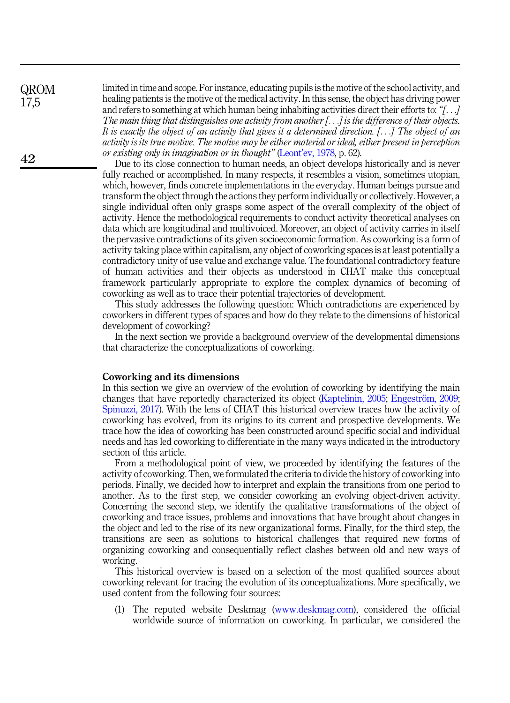QROM 17,5

limited in time and scope. For instance, educating pupils is the motive of the school activity, and healing patients is the motive of the medical activity. In this sense, the object has driving power and refers to something at which human being inhabiting activities direct their efforts to: "[...] The main thing that distinguishes one activity from another [...] is the difference of their objects. It is exactly the object of an activity that gives it a determined direction. [...] The object of an activity is its true motive. The motive may be either material or ideal, either present in perception or existing only in imagination or in thought" (Leont'[ev, 1978,](#page-24-16) p. 62).

Due to its close connection to human needs, an object develops historically and is never fully reached or accomplished. In many respects, it resembles a vision, sometimes utopian, which, however, finds concrete implementations in the everyday. Human beings pursue and transform the object through the actions they perform individually or collectively. However, a single individual often only grasps some aspect of the overall complexity of the object of activity. Hence the methodological requirements to conduct activity theoretical analyses on data which are longitudinal and multivoiced. Moreover, an object of activity carries in itself the pervasive contradictions of its given socioeconomic formation. As coworking is a form of activity taking place within capitalism, any object of coworking spaces is at least potentially a contradictory unity of use value and exchange value. The foundational contradictory feature of human activities and their objects as understood in CHAT make this conceptual framework particularly appropriate to explore the complex dynamics of becoming of coworking as well as to trace their potential trajectories of development.

This study addresses the following question: Which contradictions are experienced by coworkers in different types of spaces and how do they relate to the dimensions of historical development of coworking?

In the next section we provide a background overview of the developmental dimensions that characterize the conceptualizations of coworking.

#### Coworking and its dimensions

In this section we give an overview of the evolution of coworking by identifying the main changes that have reportedly characterized its object ([Kaptelinin, 2005](#page-24-17); [Engestr](#page-23-12)ö[m, 2009](#page-23-12); [Spinuzzi, 2017](#page-25-6)). With the lens of CHAT this historical overview traces how the activity of coworking has evolved, from its origins to its current and prospective developments. We trace how the idea of coworking has been constructed around specific social and individual needs and has led coworking to differentiate in the many ways indicated in the introductory section of this article.

From a methodological point of view, we proceeded by identifying the features of the activity of coworking. Then, we formulated the criteria to divide the history of coworking into periods. Finally, we decided how to interpret and explain the transitions from one period to another. As to the first step, we consider coworking an evolving object-driven activity. Concerning the second step, we identify the qualitative transformations of the object of coworking and trace issues, problems and innovations that have brought about changes in the object and led to the rise of its new organizational forms. Finally, for the third step, the transitions are seen as solutions to historical challenges that required new forms of organizing coworking and consequentially reflect clashes between old and new ways of working.

This historical overview is based on a selection of the most qualified sources about coworking relevant for tracing the evolution of its conceptualizations. More specifically, we used content from the following four sources:

(1) The reputed website Deskmag ([www.deskmag.com](http://www.deskmag.com/)), considered the official worldwide source of information on coworking. In particular, we considered the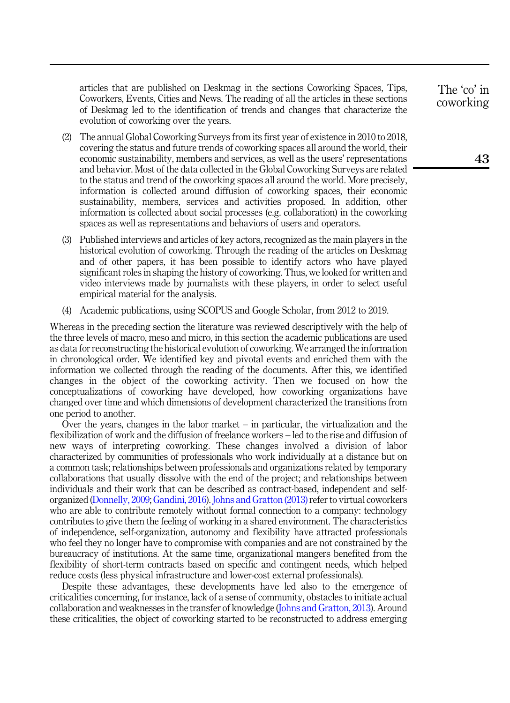articles that are published on Deskmag in the sections Coworking Spaces, Tips, Coworkers, Events, Cities and News. The reading of all the articles in these sections of Deskmag led to the identification of trends and changes that characterize the evolution of coworking over the years.

- (2) The annual Global Coworking Surveys from its first year of existence in 2010 to 2018, covering the status and future trends of coworking spaces all around the world, their economic sustainability, members and services, as well as the users' representations and behavior. Most of the data collected in the Global Coworking Surveys are related to the status and trend of the coworking spaces all around the world. More precisely, information is collected around diffusion of coworking spaces, their economic sustainability, members, services and activities proposed. In addition, other information is collected about social processes (e.g. collaboration) in the coworking spaces as well as representations and behaviors of users and operators.
- (3) Published interviews and articles of key actors, recognized as the main players in the historical evolution of coworking. Through the reading of the articles on Deskmag and of other papers, it has been possible to identify actors who have played significant roles in shaping the history of coworking. Thus, we looked for written and video interviews made by journalists with these players, in order to select useful empirical material for the analysis.
- (4) Academic publications, using SCOPUS and Google Scholar, from 2012 to 2019.

Whereas in the preceding section the literature was reviewed descriptively with the help of the three levels of macro, meso and micro, in this section the academic publications are used as data for reconstructing the historical evolution of coworking. We arranged the information in chronological order. We identified key and pivotal events and enriched them with the information we collected through the reading of the documents. After this, we identified changes in the object of the coworking activity. Then we focused on how the conceptualizations of coworking have developed, how coworking organizations have changed over time and which dimensions of development characterized the transitions from one period to another.

Over the years, changes in the labor market – in particular, the virtualization and the flexibilization of work and the diffusion of freelance workers – led to the rise and diffusion of new ways of interpreting coworking. These changes involved a division of labor characterized by communities of professionals who work individually at a distance but on a common task; relationships between professionals and organizations related by temporary collaborations that usually dissolve with the end of the project; and relationships between individuals and their work that can be described as contract-based, independent and selforganized ([Donnelly, 2009;](#page-23-13) [Gandini, 2016\)](#page-23-8). [Johns and Gratton \(2013\)](#page-24-5)refer to virtual coworkers who are able to contribute remotely without formal connection to a company: technology contributes to give them the feeling of working in a shared environment. The characteristics of independence, self-organization, autonomy and flexibility have attracted professionals who feel they no longer have to compromise with companies and are not constrained by the bureaucracy of institutions. At the same time, organizational mangers benefited from the flexibility of short-term contracts based on specific and contingent needs, which helped reduce costs (less physical infrastructure and lower-cost external professionals).

Despite these advantages, these developments have led also to the emergence of criticalities concerning, for instance, lack of a sense of community, obstacles to initiate actual collaboration and weaknesses in the transfer of knowledge [\(Johns and Gratton, 2013\)](#page-24-5). Around these criticalities, the object of coworking started to be reconstructed to address emerging

The 'co' in coworking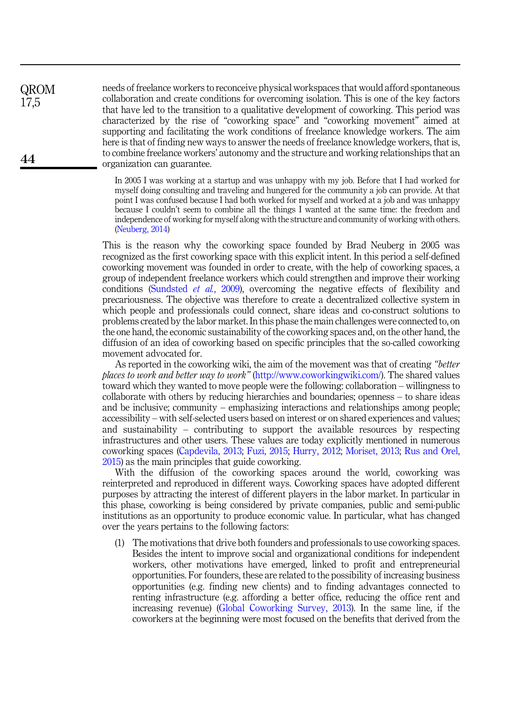needs of freelance workers to reconceive physical workspaces that would afford spontaneous collaboration and create conditions for overcoming isolation. This is one of the key factors that have led to the transition to a qualitative development of coworking. This period was characterized by the rise of "coworking space" and "coworking movement" aimed at supporting and facilitating the work conditions of freelance knowledge workers. The aim here is that of finding new ways to answer the needs of freelance knowledge workers, that is, to combine freelance workers' autonomy and the structure and working relationships that an organization can guarantee.

QROM 17,5

44

In 2005 I was working at a startup and was unhappy with my job. Before that I had worked for myself doing consulting and traveling and hungered for the community a job can provide. At that point I was confused because I had both worked for myself and worked at a job and was unhappy because I couldn't seem to combine all the things I wanted at the same time: the freedom and independence of working for myself along with the structure and community of working with others. [\(Neuberg, 2014](#page-24-18))

This is the reason why the coworking space founded by Brad Neuberg in 2005 was recognized as the first coworking space with this explicit intent. In this period a self-defined coworking movement was founded in order to create, with the help of coworking spaces, a group of independent freelance workers which could strengthen and improve their working conditions [\(Sundsted](#page-25-7) et al., 2009), overcoming the negative effects of flexibility and precariousness. The objective was therefore to create a decentralized collective system in which people and professionals could connect, share ideas and co-construct solutions to problems created by the labor market. In this phase the main challenges were connected to, on the one hand, the economic sustainability of the coworking spaces and, on the other hand, the diffusion of an idea of coworking based on specific principles that the so-called coworking movement advocated for.

As reported in the coworking wiki, the aim of the movement was that of creating "better places to work and better way to work" ([http://www.coworkingwiki.com/\)](http://www.coworkingwiki.com/)). The shared values toward which they wanted to move people were the following: collaboration – willingness to collaborate with others by reducing hierarchies and boundaries; openness – to share ideas and be inclusive; community – emphasizing interactions and relationships among people; accessibility – with self-selected users based on interest or on shared experiences and values; and sustainability – contributing to support the available resources by respecting infrastructures and other users. These values are today explicitly mentioned in numerous coworking spaces [\(Capdevila, 2013;](#page-22-2) [Fuzi, 2015;](#page-23-6) [Hurry, 2012;](#page-24-19) [Moriset, 2013](#page-24-6); [Rus and Orel,](#page-24-7) [2015\)](#page-24-7) as the main principles that guide coworking.

With the diffusion of the coworking spaces around the world, coworking was reinterpreted and reproduced in different ways. Coworking spaces have adopted different purposes by attracting the interest of different players in the labor market. In particular in this phase, coworking is being considered by private companies, public and semi-public institutions as an opportunity to produce economic value. In particular, what has changed over the years pertains to the following factors:

(1) The motivations that drive both founders and professionals to use coworking spaces. Besides the intent to improve social and organizational conditions for independent workers, other motivations have emerged, linked to profit and entrepreneurial opportunities. For founders, these are related to the possibility of increasing business opportunities (e.g. finding new clients) and to finding advantages connected to renting infrastructure (e.g. affording a better office, reducing the office rent and increasing revenue) ([Global Coworking Survey, 2013\)](#page-23-14). In the same line, if the coworkers at the beginning were most focused on the benefits that derived from the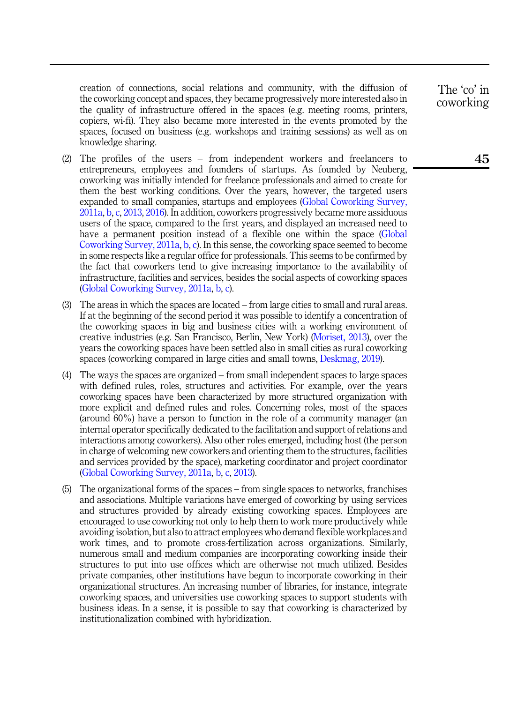creation of connections, social relations and community, with the diffusion of the coworking concept and spaces, they became progressively more interested also in the quality of infrastructure offered in the spaces (e.g. meeting rooms, printers, copiers, wi-fi). They also became more interested in the events promoted by the spaces, focused on business (e.g. workshops and training sessions) as well as on knowledge sharing.

- (2) The profiles of the users from independent workers and freelancers to entrepreneurs, employees and founders of startups. As founded by Neuberg, coworking was initially intended for freelance professionals and aimed to create for them the best working conditions. Over the years, however, the targeted users expanded to small companies, startups and employees ([Global Coworking Survey,](#page-23-15) [2011a](#page-23-15), [b](#page-23-16), [c,](#page-23-17) [2013](#page-23-14), [2016\)](#page-23-18). In addition, coworkers progressively became more assiduous users of the space, compared to the first years, and displayed an increased need to have a permanent position instead of a flexible one within the space [\(Global](#page-23-15) [Coworking Survey, 2011a,](#page-23-15) [b,](#page-23-16) [c](#page-23-17)). In this sense, the coworking space seemed to become in some respects like a regular office for professionals. This seems to be confirmed by the fact that coworkers tend to give increasing importance to the availability of infrastructure, facilities and services, besides the social aspects of coworking spaces ([Global Coworking Survey, 2011a,](#page-23-15) [b,](#page-23-16) [c](#page-23-17)).
- (3) The areas in which the spaces are located from large cities to small and rural areas. If at the beginning of the second period it was possible to identify a concentration of the coworking spaces in big and business cities with a working environment of creative industries (e.g. San Francisco, Berlin, New York) [\(Moriset, 2013](#page-24-6)), over the years the coworking spaces have been settled also in small cities as rural coworking spaces (coworking compared in large cities and small towns, [Deskmag, 2019\)](#page-23-0).
- (4) The ways the spaces are organized from small independent spaces to large spaces with defined rules, roles, structures and activities. For example, over the years coworking spaces have been characterized by more structured organization with more explicit and defined rules and roles. Concerning roles, most of the spaces (around 60%) have a person to function in the role of a community manager (an internal operator specifically dedicated to the facilitation and support of relations and interactions among coworkers). Also other roles emerged, including host (the person in charge of welcoming new coworkers and orienting them to the structures, facilities and services provided by the space), marketing coordinator and project coordinator ([Global Coworking Survey, 2011a,](#page-23-15) [b,](#page-23-16) [c](#page-23-17), [2013](#page-23-14)).
- (5) The organizational forms of the spaces from single spaces to networks, franchises and associations. Multiple variations have emerged of coworking by using services and structures provided by already existing coworking spaces. Employees are encouraged to use coworking not only to help them to work more productively while avoiding isolation, but also to attract employees who demand flexible workplaces and work times, and to promote cross-fertilization across organizations. Similarly, numerous small and medium companies are incorporating coworking inside their structures to put into use offices which are otherwise not much utilized. Besides private companies, other institutions have begun to incorporate coworking in their organizational structures. An increasing number of libraries, for instance, integrate coworking spaces, and universities use coworking spaces to support students with business ideas. In a sense, it is possible to say that coworking is characterized by institutionalization combined with hybridization.

The 'co' in coworking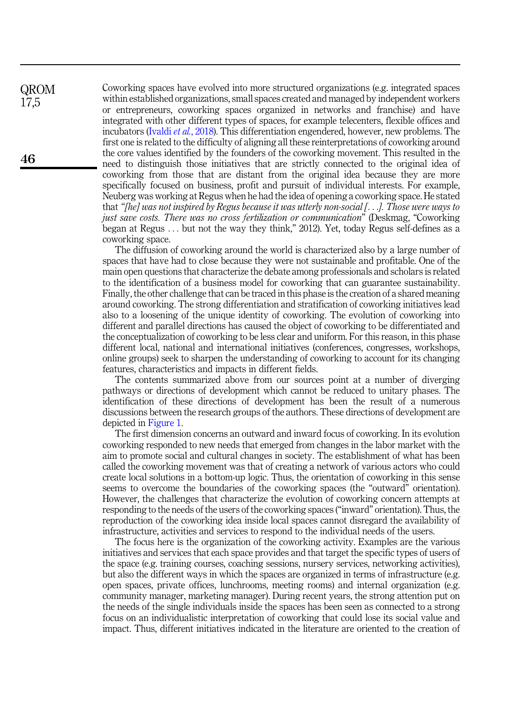Coworking spaces have evolved into more structured organizations (e.g. integrated spaces within established organizations, small spaces created and managed by independent workers or entrepreneurs, coworking spaces organized in networks and franchise) and have integrated with other different types of spaces, for example telecenters, flexible offices and incubators (Ivaldi et al.[, 2018\)](#page-24-13). This differentiation engendered, however, new problems. The first one is related to the difficulty of aligning all these reinterpretations of coworking around the core values identified by the founders of the coworking movement. This resulted in the need to distinguish those initiatives that are strictly connected to the original idea of coworking from those that are distant from the original idea because they are more specifically focused on business, profit and pursuit of individual interests. For example, Neuberg was working at Regus when he had the idea of opening a coworking space. He stated that "[he] was not inspired by Regus because it was utterly non-social [...]. Those were ways to just save costs. There was no cross fertilization or communication" (Deskmag, "Coworking began at Regus ... but not the way they think," 2012). Yet, today Regus self-defines as a coworking space.

The diffusion of coworking around the world is characterized also by a large number of spaces that have had to close because they were not sustainable and profitable. One of the main open questions that characterize the debate among professionals and scholars is related to the identification of a business model for coworking that can guarantee sustainability. Finally, the other challenge that can be traced in this phase is the creation of a shared meaning around coworking. The strong differentiation and stratification of coworking initiatives lead also to a loosening of the unique identity of coworking. The evolution of coworking into different and parallel directions has caused the object of coworking to be differentiated and the conceptualization of coworking to be less clear and uniform. For this reason, in this phase different local, national and international initiatives (conferences, congresses, workshops, online groups) seek to sharpen the understanding of coworking to account for its changing features, characteristics and impacts in different fields.

The contents summarized above from our sources point at a number of diverging pathways or directions of development which cannot be reduced to unitary phases. The identification of these directions of development has been the result of a numerous discussions between the research groups of the authors. These directions of development are depicted in [Figure 1](#page-9-0).

The first dimension concerns an outward and inward focus of coworking. In its evolution coworking responded to new needs that emerged from changes in the labor market with the aim to promote social and cultural changes in society. The establishment of what has been called the coworking movement was that of creating a network of various actors who could create local solutions in a bottom-up logic. Thus, the orientation of coworking in this sense seems to overcome the boundaries of the coworking spaces (the "outward" orientation). However, the challenges that characterize the evolution of coworking concern attempts at responding to the needs of the users of the coworking spaces ("inward" orientation). Thus, the reproduction of the coworking idea inside local spaces cannot disregard the availability of infrastructure, activities and services to respond to the individual needs of the users.

The focus here is the organization of the coworking activity. Examples are the various initiatives and services that each space provides and that target the specific types of users of the space (e.g. training courses, coaching sessions, nursery services, networking activities), but also the different ways in which the spaces are organized in terms of infrastructure (e.g. open spaces, private offices, lunchrooms, meeting rooms) and internal organization (e.g. community manager, marketing manager). During recent years, the strong attention put on the needs of the single individuals inside the spaces has been seen as connected to a strong focus on an individualistic interpretation of coworking that could lose its social value and impact. Thus, different initiatives indicated in the literature are oriented to the creation of

46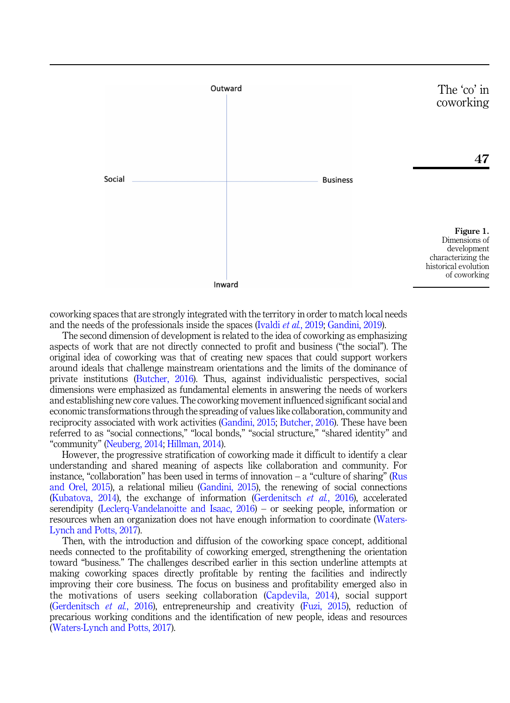<span id="page-9-0"></span>

coworking spaces that are strongly integrated with the territory in order to match local needs and the needs of the professionals inside the spaces (Ivaldi et al.[, 2019;](#page-24-10) [Gandini, 2019\)](#page-23-9).

The second dimension of development is related to the idea of coworking as emphasizing aspects of work that are not directly connected to profit and business ("the social"). The original idea of coworking was that of creating new spaces that could support workers around ideals that challenge mainstream orientations and the limits of the dominance of private institutions ([Butcher, 2016](#page-22-16)). Thus, against individualistic perspectives, social dimensions were emphasized as fundamental elements in answering the needs of workers and establishing new core values. The coworking movement influenced significant social and economic transformations through the spreading of values like collaboration, community and reciprocity associated with work activities [\(Gandini, 2015;](#page-23-3) [Butcher, 2016](#page-22-16)). These have been referred to as "social connections," "local bonds," "social structure," "shared identity" and "community" [\(Neuberg, 2014;](#page-24-18) [Hillman, 2014](#page-24-20)).

However, the progressive stratification of coworking made it difficult to identify a clear understanding and shared meaning of aspects like collaboration and community. For instance, "collaboration" has been used in terms of innovation  $-$  a "culture of sharing" [\(Rus](#page-24-7) [and Orel, 2015\)](#page-24-7), a relational milieu ([Gandini, 2015\)](#page-23-3), the renewing of social connections ([Kubatova, 2014\)](#page-24-21), the exchange of information ([Gerdenitsch](#page-23-2) et al., 2016), accelerated serendipity [\(Leclerq-Vandelanoitte and Isaac, 2016\)](#page-24-2) – or seeking people, information or resources when an organization does not have enough information to coordinate [\(Waters-](#page-25-8)[Lynch and Potts, 2017](#page-25-8)).

Then, with the introduction and diffusion of the coworking space concept, additional needs connected to the profitability of coworking emerged, strengthening the orientation toward "business." The challenges described earlier in this section underline attempts at making coworking spaces directly profitable by renting the facilities and indirectly improving their core business. The focus on business and profitability emerged also in the motivations of users seeking collaboration ([Capdevila, 2014\)](#page-22-10), social support ([Gerdenitsch](#page-23-2) et al., 2016), entrepreneurship and creativity [\(Fuzi, 2015](#page-23-6)), reduction of precarious working conditions and the identification of new people, ideas and resources ([Waters-Lynch and Potts, 2017\)](#page-25-8).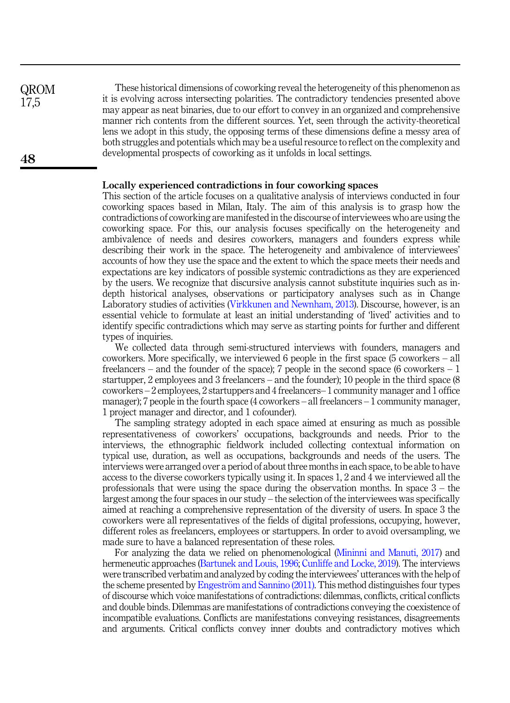QROM 17,5

These historical dimensions of coworking reveal the heterogeneity of this phenomenon as it is evolving across intersecting polarities. The contradictory tendencies presented above may appear as neat binaries, due to our effort to convey in an organized and comprehensive manner rich contents from the different sources. Yet, seen through the activity-theoretical lens we adopt in this study, the opposing terms of these dimensions define a messy area of both struggles and potentials which may be a useful resource to reflect on the complexity and developmental prospects of coworking as it unfolds in local settings.

## Locally experienced contradictions in four coworking spaces

This section of the article focuses on a qualitative analysis of interviews conducted in four coworking spaces based in Milan, Italy. The aim of this analysis is to grasp how the contradictions of coworking are manifested in the discourse of interviewees who are using the coworking space. For this, our analysis focuses specifically on the heterogeneity and ambivalence of needs and desires coworkers, managers and founders express while describing their work in the space. The heterogeneity and ambivalence of interviewees' accounts of how they use the space and the extent to which the space meets their needs and expectations are key indicators of possible systemic contradictions as they are experienced by the users. We recognize that discursive analysis cannot substitute inquiries such as indepth historical analyses, observations or participatory analyses such as in Change Laboratory studies of activities [\(Virkkunen and Newnham, 2013](#page-25-9)). Discourse, however, is an essential vehicle to formulate at least an initial understanding of 'lived' activities and to identify specific contradictions which may serve as starting points for further and different types of inquiries.

We collected data through semi-structured interviews with founders, managers and coworkers. More specifically, we interviewed 6 people in the first space (5 coworkers – all freelancers – and the founder of the space); 7 people in the second space (6 coworkers  $-1$ startupper, 2 employees and 3 freelancers – and the founder); 10 people in the third space (8 coworkers – 2 employees, 2 startuppers and 4 freelancers– 1 community manager and 1 office manager); 7 people in the fourth space (4 coworkers – all freelancers – 1 community manager, 1 project manager and director, and 1 cofounder).

The sampling strategy adopted in each space aimed at ensuring as much as possible representativeness of coworkers' occupations, backgrounds and needs. Prior to the interviews, the ethnographic fieldwork included collecting contextual information on typical use, duration, as well as occupations, backgrounds and needs of the users. The interviews were arranged over a period of about three months in each space, to be able to have access to the diverse coworkers typically using it. In spaces 1, 2 and 4 we interviewed all the professionals that were using the space during the observation months. In space 3 – the largest among the four spaces in our study – the selection of the interviewees was specifically aimed at reaching a comprehensive representation of the diversity of users. In space 3 the coworkers were all representatives of the fields of digital professions, occupying, however, different roles as freelancers, employees or startuppers. In order to avoid oversampling, we made sure to have a balanced representation of these roles.

For analyzing the data we relied on phenomenological ([Mininni and Manuti, 2017](#page-24-22)) and hermeneutic approaches ([Bartunek and Louis, 1996](#page-22-17); [Cunliffe and Locke, 2019](#page-22-18)). The interviews were transcribed verbatim and analyzed by coding the interviewees' utterances with the help of the scheme presented by [Engestr](#page-23-10)öm and Sannino (2011). This method distinguishes four types of discourse which voice manifestations of contradictions: dilemmas, conflicts, critical conflicts and double binds. Dilemmas are manifestations of contradictions conveying the coexistence of incompatible evaluations. Conflicts are manifestations conveying resistances, disagreements and arguments. Critical conflicts convey inner doubts and contradictory motives which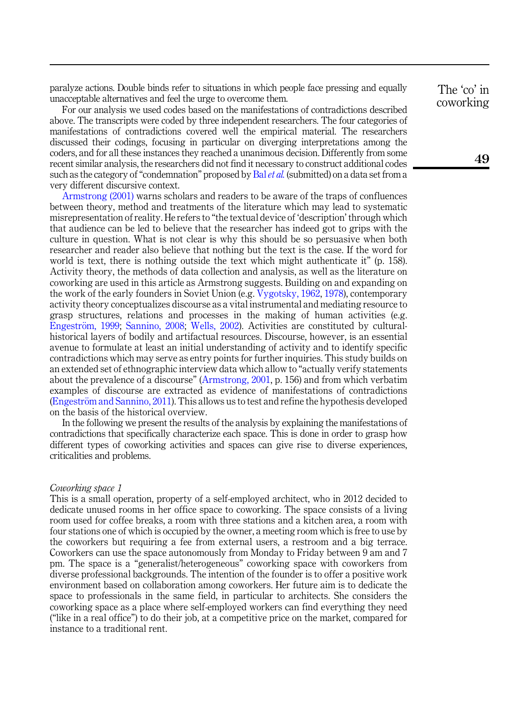paralyze actions. Double binds refer to situations in which people face pressing and equally unacceptable alternatives and feel the urge to overcome them.

For our analysis we used codes based on the manifestations of contradictions described above. The transcripts were coded by three independent researchers. The four categories of manifestations of contradictions covered well the empirical material. The researchers discussed their codings, focusing in particular on diverging interpretations among the coders, and for all these instances they reached a unanimous decision. Differently from some recent similar analysis, the researchers did not find it necessary to construct additional codes such as the category of "condemnation" proposed by Bal [et al.](#page-22-19) (submitted) on a data set from a very different discursive context.

[Armstrong \(2001\)](#page-22-20) warns scholars and readers to be aware of the traps of confluences between theory, method and treatments of the literature which may lead to systematic misrepresentation of reality. He refers to "the textual device of 'description' through which that audience can be led to believe that the researcher has indeed got to grips with the culture in question. What is not clear is why this should be so persuasive when both researcher and reader also believe that nothing but the text is the case. If the word for world is text, there is nothing outside the text which might authenticate it" (p. 158). Activity theory, the methods of data collection and analysis, as well as the literature on coworking are used in this article as Armstrong suggests. Building on and expanding on the work of the early founders in Soviet Union (e.g. [Vygotsky, 1962,](#page-25-10) [1978](#page-25-11)), contemporary activity theory conceptualizes discourse as a vital instrumental and mediating resource to grasp structures, relations and processes in the making of human activities (e.g. [Engestr](#page-23-19)ö[m, 1999;](#page-23-19) [Sannino, 2008](#page-24-23); [Wells, 2002](#page-25-12)). Activities are constituted by culturalhistorical layers of bodily and artifactual resources. Discourse, however, is an essential avenue to formulate at least an initial understanding of activity and to identify specific contradictions which may serve as entry points for further inquiries. This study builds on an extended set of ethnographic interview data which allow to "actually verify statements about the prevalence of a discourse" [\(Armstrong, 2001,](#page-22-20) p. 156) and from which verbatim examples of discourse are extracted as evidence of manifestations of contradictions ([Engestr](#page-23-10)€[om and Sannino, 2011](#page-23-10)). This allows us to test and refine the hypothesis developed on the basis of the historical overview.

In the following we present the results of the analysis by explaining the manifestations of contradictions that specifically characterize each space. This is done in order to grasp how different types of coworking activities and spaces can give rise to diverse experiences, criticalities and problems.

## Coworking space 1

This is a small operation, property of a self-employed architect, who in 2012 decided to dedicate unused rooms in her office space to coworking. The space consists of a living room used for coffee breaks, a room with three stations and a kitchen area, a room with four stations one of which is occupied by the owner, a meeting room which is free to use by the coworkers but requiring a fee from external users, a restroom and a big terrace. Coworkers can use the space autonomously from Monday to Friday between 9 am and 7 pm. The space is a "generalist/heterogeneous" coworking space with coworkers from diverse professional backgrounds. The intention of the founder is to offer a positive work environment based on collaboration among coworkers. Her future aim is to dedicate the space to professionals in the same field, in particular to architects. She considers the coworking space as a place where self-employed workers can find everything they need ("like in a real office") to do their job, at a competitive price on the market, compared for instance to a traditional rent.

The 'co' in coworking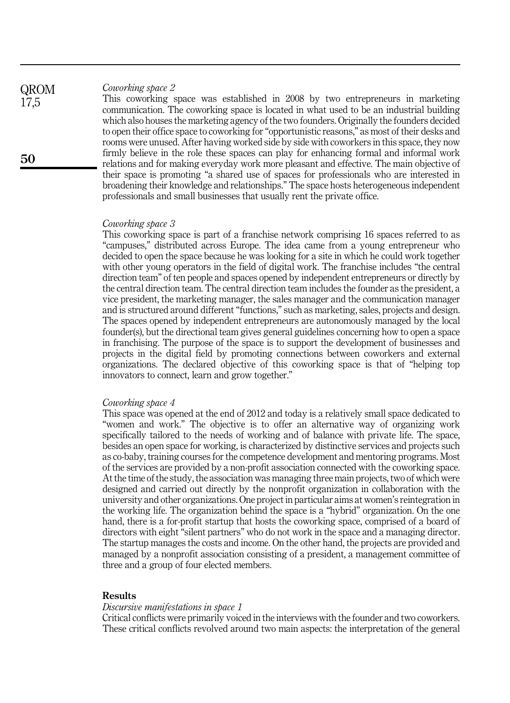Coworking space 2

This coworking space was established in 2008 by two entrepreneurs in marketing communication. The coworking space is located in what used to be an industrial building which also houses the marketing agency of the two founders. Originally the founders decided to open their office space to coworking for"opportunistic reasons," as most of their desks and rooms were unused. After having worked side by side with coworkers in this space, they now firmly believe in the role these spaces can play for enhancing formal and informal work relations and for making everyday work more pleasant and effective. The main objective of their space is promoting "a shared use of spaces for professionals who are interested in broadening their knowledge and relationships." The space hosts heterogeneous independent professionals and small businesses that usually rent the private office.

### Coworking space 3

This coworking space is part of a franchise network comprising 16 spaces referred to as "campuses," distributed across Europe. The idea came from a young entrepreneur who decided to open the space because he was looking for a site in which he could work together with other young operators in the field of digital work. The franchise includes "the central direction team" of ten people and spaces opened by independent entrepreneurs or directly by the central direction team. The central direction team includes the founder as the president, a vice president, the marketing manager, the sales manager and the communication manager and is structured around different "functions," such as marketing, sales, projects and design. The spaces opened by independent entrepreneurs are autonomously managed by the local founder(s), but the directional team gives general guidelines concerning how to open a space in franchising. The purpose of the space is to support the development of businesses and projects in the digital field by promoting connections between coworkers and external organizations. The declared objective of this coworking space is that of "helping top innovators to connect, learn and grow together."

#### Coworking space 4

This space was opened at the end of 2012 and today is a relatively small space dedicated to "women and work." The objective is to offer an alternative way of organizing work specifically tailored to the needs of working and of balance with private life. The space, besides an open space for working, is characterized by distinctive services and projects such as co-baby, training courses for the competence development and mentoring programs. Most of the services are provided by a non-profit association connected with the coworking space. At the time of the study, the association was managing three main projects, two of which were designed and carried out directly by the nonprofit organization in collaboration with the university and other organizations. One project in particular aims at women's reintegration in the working life. The organization behind the space is a "hybrid" organization. On the one hand, there is a for-profit startup that hosts the coworking space, comprised of a board of directors with eight "silent partners" who do not work in the space and a managing director. The startup manages the costs and income. On the other hand, the projects are provided and managed by a nonprofit association consisting of a president, a management committee of three and a group of four elected members.

## Results

#### Discursive manifestations in space 1

Critical conflicts were primarily voiced in the interviews with the founder and two coworkers. These critical conflicts revolved around two main aspects: the interpretation of the general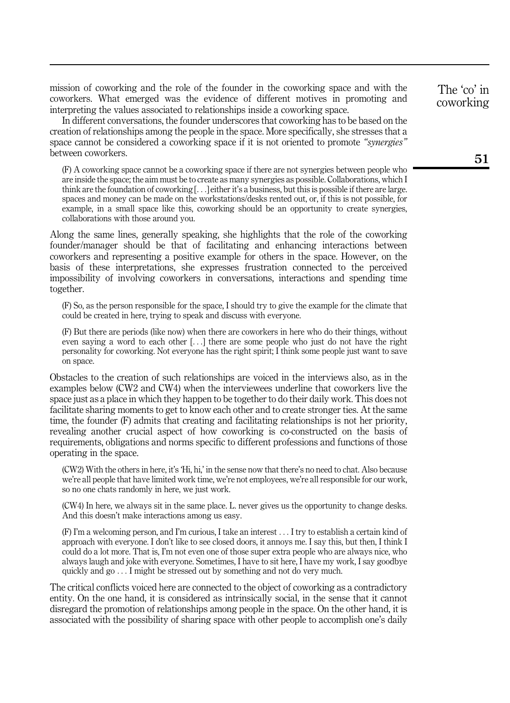mission of coworking and the role of the founder in the coworking space and with the coworkers. What emerged was the evidence of different motives in promoting and interpreting the values associated to relationships inside a coworking space.

In different conversations, the founder underscores that coworking has to be based on the creation of relationships among the people in the space. More specifically, she stresses that a space cannot be considered a coworking space if it is not oriented to promote "synergies" between coworkers.

(F) A coworking space cannot be a coworking space if there are not synergies between people who are inside the space; the aim must be to create as many synergies as possible. Collaborations, which I think are the foundation of coworking [...] either it's a business, but this is possible if there are large. spaces and money can be made on the workstations/desks rented out, or, if this is not possible, for example, in a small space like this, coworking should be an opportunity to create synergies, collaborations with those around you.

Along the same lines, generally speaking, she highlights that the role of the coworking founder/manager should be that of facilitating and enhancing interactions between coworkers and representing a positive example for others in the space. However, on the basis of these interpretations, she expresses frustration connected to the perceived impossibility of involving coworkers in conversations, interactions and spending time together.

(F) So, as the person responsible for the space, I should try to give the example for the climate that could be created in here, trying to speak and discuss with everyone.

(F) But there are periods (like now) when there are coworkers in here who do their things, without even saying a word to each other [...] there are some people who just do not have the right personality for coworking. Not everyone has the right spirit; I think some people just want to save on space.

Obstacles to the creation of such relationships are voiced in the interviews also, as in the examples below (CW2 and CW4) when the interviewees underline that coworkers live the space just as a place in which they happen to be together to do their daily work. This does not facilitate sharing moments to get to know each other and to create stronger ties. At the same time, the founder (F) admits that creating and facilitating relationships is not her priority, revealing another crucial aspect of how coworking is co-constructed on the basis of requirements, obligations and norms specific to different professions and functions of those operating in the space.

(CW2) With the others in here, it's 'Hi, hi,' in the sense now that there's no need to chat. Also because we're all people that have limited work time, we're not employees, we're all responsible for our work, so no one chats randomly in here, we just work.

(CW4) In here, we always sit in the same place. L. never gives us the opportunity to change desks. And this doesn't make interactions among us easy.

(F) I'm a welcoming person, and I'm curious, I take an interest ... I try to establish a certain kind of approach with everyone. I don't like to see closed doors, it annoys me. I say this, but then, I think I could do a lot more. That is, I'm not even one of those super extra people who are always nice, who always laugh and joke with everyone. Sometimes, I have to sit here, I have my work, I say goodbye quickly and go ... I might be stressed out by something and not do very much.

The critical conflicts voiced here are connected to the object of coworking as a contradictory entity. On the one hand, it is considered as intrinsically social, in the sense that it cannot disregard the promotion of relationships among people in the space. On the other hand, it is associated with the possibility of sharing space with other people to accomplish one's daily

The 'co' in coworking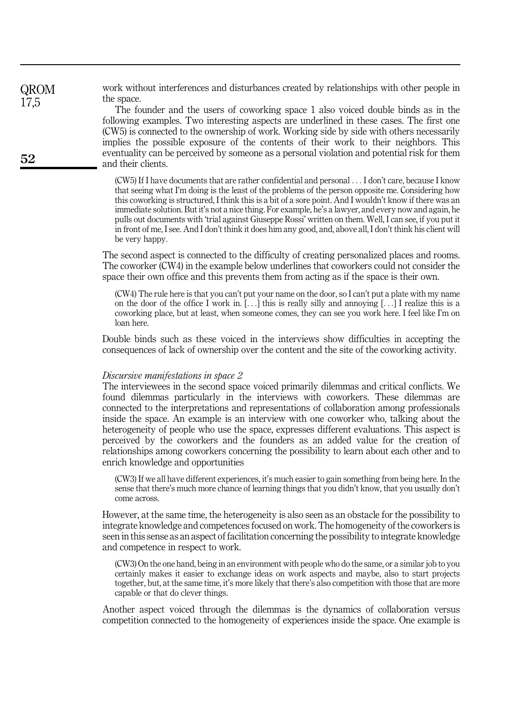work without interferences and disturbances created by relationships with other people in the space.

The founder and the users of coworking space 1 also voiced double binds as in the following examples. Two interesting aspects are underlined in these cases. The first one (CW5) is connected to the ownership of work. Working side by side with others necessarily implies the possible exposure of the contents of their work to their neighbors. This eventuality can be perceived by someone as a personal violation and potential risk for them and their clients.

(CW5) If I have documents that are rather confidential and personal ... I don't care, because I know that seeing what I'm doing is the least of the problems of the person opposite me. Considering how this coworking is structured, I think this is a bit of a sore point. And I wouldn't know if there was an immediate solution. But it's not a nice thing. For example, he's a lawyer, and every now and again, he pulls out documents with 'trial against Giuseppe Rossi' written on them. Well, I can see, if you put it in front of me, I see. And I don't think it does him any good, and, above all, I don't think his client will be very happy.

The second aspect is connected to the difficulty of creating personalized places and rooms. The coworker (CW4) in the example below underlines that coworkers could not consider the space their own office and this prevents them from acting as if the space is their own.

(CW4) The rule here is that you can't put your name on the door, so I can't put a plate with my name on the door of the office I work in.  $[\ldots]$  this is really silly and annoying  $[\ldots]$  I realize this is a coworking place, but at least, when someone comes, they can see you work here. I feel like I'm on loan here.

Double binds such as these voiced in the interviews show difficulties in accepting the consequences of lack of ownership over the content and the site of the coworking activity.

## Discursive manifestations in space 2

The interviewees in the second space voiced primarily dilemmas and critical conflicts. We found dilemmas particularly in the interviews with coworkers. These dilemmas are connected to the interpretations and representations of collaboration among professionals inside the space. An example is an interview with one coworker who, talking about the heterogeneity of people who use the space, expresses different evaluations. This aspect is perceived by the coworkers and the founders as an added value for the creation of relationships among coworkers concerning the possibility to learn about each other and to enrich knowledge and opportunities

(CW3) If we all have different experiences, it's much easier to gain something from being here. In the sense that there's much more chance of learning things that you didn't know, that you usually don't come across.

However, at the same time, the heterogeneity is also seen as an obstacle for the possibility to integrate knowledge and competences focused on work. The homogeneity of the coworkers is seen in this sense as an aspect of facilitation concerning the possibility to integrate knowledge and competence in respect to work.

(CW3) On the one hand, being in an environment with people who do the same, or a similar job to you certainly makes it easier to exchange ideas on work aspects and maybe, also to start projects together, but, at the same time, it's more likely that there's also competition with those that are more capable or that do clever things.

Another aspect voiced through the dilemmas is the dynamics of collaboration versus competition connected to the homogeneity of experiences inside the space. One example is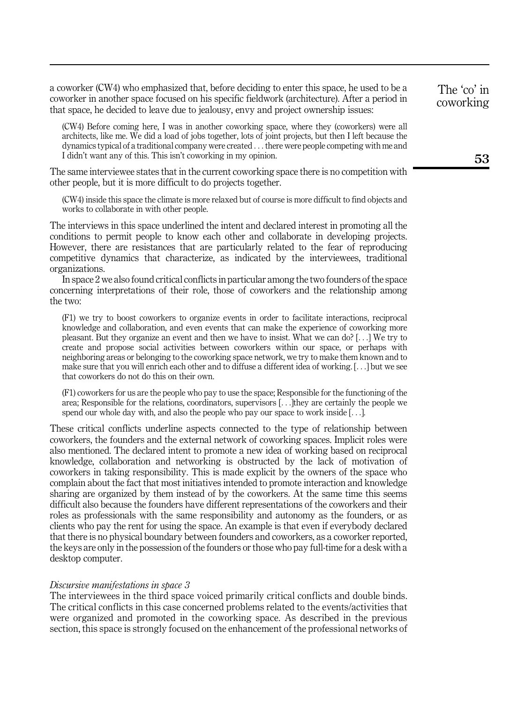a coworker (CW4) who emphasized that, before deciding to enter this space, he used to be a coworker in another space focused on his specific fieldwork (architecture). After a period in that space, he decided to leave due to jealousy, envy and project ownership issues:

(CW4) Before coming here, I was in another coworking space, where they (coworkers) were all architects, like me. We did a load of jobs together, lots of joint projects, but then I left because the dynamics typical of a traditional company were created ... there were people competing with me and I didn't want any of this. This isn't coworking in my opinion.

The same interviewee states that in the current coworking space there is no competition with other people, but it is more difficult to do projects together.

(CW4) inside this space the climate is more relaxed but of course is more difficult to find objects and works to collaborate in with other people.

The interviews in this space underlined the intent and declared interest in promoting all the conditions to permit people to know each other and collaborate in developing projects. However, there are resistances that are particularly related to the fear of reproducing competitive dynamics that characterize, as indicated by the interviewees, traditional organizations.

In space 2 we also found critical conflicts in particular among the two founders of the space concerning interpretations of their role, those of coworkers and the relationship among the two:

(F1) we try to boost coworkers to organize events in order to facilitate interactions, reciprocal knowledge and collaboration, and even events that can make the experience of coworking more pleasant. But they organize an event and then we have to insist. What we can do? [...] We try to create and propose social activities between coworkers within our space, or perhaps with neighboring areas or belonging to the coworking space network, we try to make them known and to make sure that you will enrich each other and to diffuse a different idea of working. [...] but we see that coworkers do not do this on their own.

(F1) coworkers for us are the people who pay to use the space; Responsible for the functioning of the area; Responsible for the relations, coordinators, supervisors [...]they are certainly the people we spend our whole day with, and also the people who pay our space to work inside  $[\ldots]$ .

These critical conflicts underline aspects connected to the type of relationship between coworkers, the founders and the external network of coworking spaces. Implicit roles were also mentioned. The declared intent to promote a new idea of working based on reciprocal knowledge, collaboration and networking is obstructed by the lack of motivation of coworkers in taking responsibility. This is made explicit by the owners of the space who complain about the fact that most initiatives intended to promote interaction and knowledge sharing are organized by them instead of by the coworkers. At the same time this seems difficult also because the founders have different representations of the coworkers and their roles as professionals with the same responsibility and autonomy as the founders, or as clients who pay the rent for using the space. An example is that even if everybody declared that there is no physical boundary between founders and coworkers, as a coworker reported, the keys are only in the possession of the founders or those who pay full-time for a desk with a desktop computer.

#### Discursive manifestations in space 3

The interviewees in the third space voiced primarily critical conflicts and double binds. The critical conflicts in this case concerned problems related to the events/activities that were organized and promoted in the coworking space. As described in the previous section, this space is strongly focused on the enhancement of the professional networks of The 'co' in coworking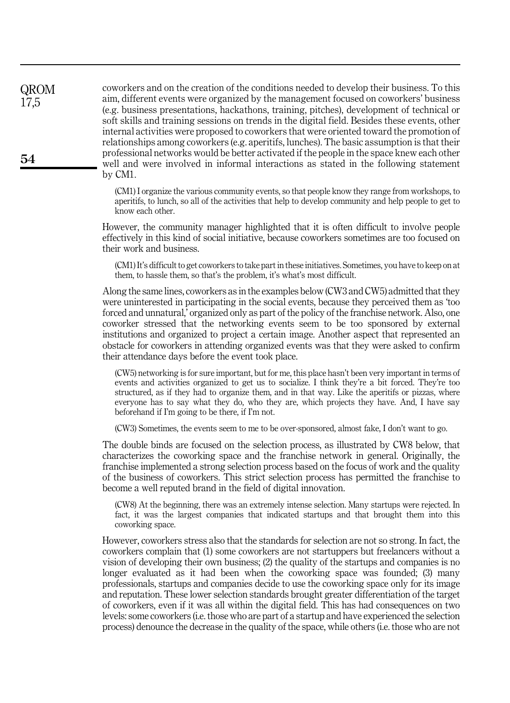coworkers and on the creation of the conditions needed to develop their business. To this aim, different events were organized by the management focused on coworkers' business (e.g. business presentations, hackathons, training, pitches), development of technical or soft skills and training sessions on trends in the digital field. Besides these events, other internal activities were proposed to coworkers that were oriented toward the promotion of relationships among coworkers (e.g. aperitifs, lunches). The basic assumption is that their professional networks would be better activated if the people in the space knew each other well and were involved in informal interactions as stated in the following statement by CM1.

(CM1) I organize the various community events, so that people know they range from workshops, to aperitifs, to lunch, so all of the activities that help to develop community and help people to get to know each other.

However, the community manager highlighted that it is often difficult to involve people effectively in this kind of social initiative, because coworkers sometimes are too focused on their work and business.

(CM1) It's difficult to get coworkers to take part in these initiatives. Sometimes, you have to keep on at them, to hassle them, so that's the problem, it's what's most difficult.

Along the same lines, coworkers as in the examples below (CW3 and CW5) admitted that they were uninterested in participating in the social events, because they perceived them as 'too forced and unnatural,' organized only as part of the policy of the franchise network. Also, one coworker stressed that the networking events seem to be too sponsored by external institutions and organized to project a certain image. Another aspect that represented an obstacle for coworkers in attending organized events was that they were asked to confirm their attendance days before the event took place.

(CW5) networking is for sure important, but for me, this place hasn't been very important in terms of events and activities organized to get us to socialize. I think they're a bit forced. They're too structured, as if they had to organize them, and in that way. Like the aperitifs or pizzas, where everyone has to say what they do, who they are, which projects they have. And, I have say beforehand if I'm going to be there, if I'm not.

(CW3) Sometimes, the events seem to me to be over-sponsored, almost fake, I don't want to go.

The double binds are focused on the selection process, as illustrated by CW8 below, that characterizes the coworking space and the franchise network in general. Originally, the franchise implemented a strong selection process based on the focus of work and the quality of the business of coworkers. This strict selection process has permitted the franchise to become a well reputed brand in the field of digital innovation.

(CW8) At the beginning, there was an extremely intense selection. Many startups were rejected. In fact, it was the largest companies that indicated startups and that brought them into this coworking space.

However, coworkers stress also that the standards for selection are not so strong. In fact, the coworkers complain that (1) some coworkers are not startuppers but freelancers without a vision of developing their own business; (2) the quality of the startups and companies is no longer evaluated as it had been when the coworking space was founded; (3) many professionals, startups and companies decide to use the coworking space only for its image and reputation. These lower selection standards brought greater differentiation of the target of coworkers, even if it was all within the digital field. This has had consequences on two levels: some coworkers (i.e. those who are part of a startup and have experienced the selection process) denounce the decrease in the quality of the space, while others (i.e. those who are not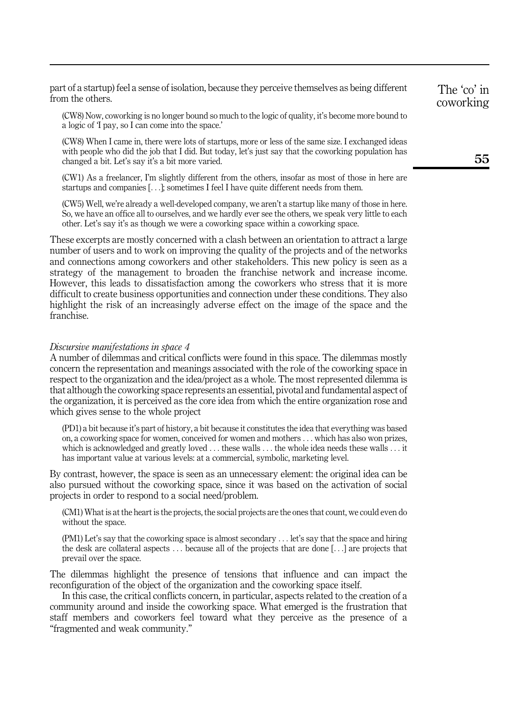part of a startup) feel a sense of isolation, because they perceive themselves as being different from the others.

(CW8) Now, coworking is no longer bound so much to the logic of quality, it's become more bound to a logic of 'I pay, so I can come into the space.'

(CW8) When I came in, there were lots of startups, more or less of the same size. I exchanged ideas with people who did the job that I did. But today, let's just say that the coworking population has changed a bit. Let's say it's a bit more varied.

(CW1) As a freelancer, I'm slightly different from the others, insofar as most of those in here are startups and companies [...]; sometimes I feel I have quite different needs from them.

(CW5) Well, we're already a well-developed company, we aren't a startup like many of those in here. So, we have an office all to ourselves, and we hardly ever see the others, we speak very little to each other. Let's say it's as though we were a coworking space within a coworking space.

These excerpts are mostly concerned with a clash between an orientation to attract a large number of users and to work on improving the quality of the projects and of the networks and connections among coworkers and other stakeholders. This new policy is seen as a strategy of the management to broaden the franchise network and increase income. However, this leads to dissatisfaction among the coworkers who stress that it is more difficult to create business opportunities and connection under these conditions. They also highlight the risk of an increasingly adverse effect on the image of the space and the franchise.

#### Discursive manifestations in space 4

A number of dilemmas and critical conflicts were found in this space. The dilemmas mostly concern the representation and meanings associated with the role of the coworking space in respect to the organization and the idea/project as a whole. The most represented dilemma is that although the coworking space represents an essential, pivotal and fundamental aspect of the organization, it is perceived as the core idea from which the entire organization rose and which gives sense to the whole project

(PD1) a bit because it's part of history, a bit because it constitutes the idea that everything was based on, a coworking space for women, conceived for women and mothers ... which has also won prizes, which is acknowledged and greatly loved  $\dots$  these walls  $\dots$  the whole idea needs these walls  $\dots$  it has important value at various levels: at a commercial, symbolic, marketing level.

By contrast, however, the space is seen as an unnecessary element: the original idea can be also pursued without the coworking space, since it was based on the activation of social projects in order to respond to a social need/problem.

(CM1) What is at the heart is the projects, the social projects are the ones that count, we could even do without the space.

(PM1) Let's say that the coworking space is almost secondary ... let's say that the space and hiring the desk are collateral aspects ... because all of the projects that are done [...] are projects that prevail over the space.

The dilemmas highlight the presence of tensions that influence and can impact the reconfiguration of the object of the organization and the coworking space itself.

In this case, the critical conflicts concern, in particular, aspects related to the creation of a community around and inside the coworking space. What emerged is the frustration that staff members and coworkers feel toward what they perceive as the presence of a "fragmented and weak community."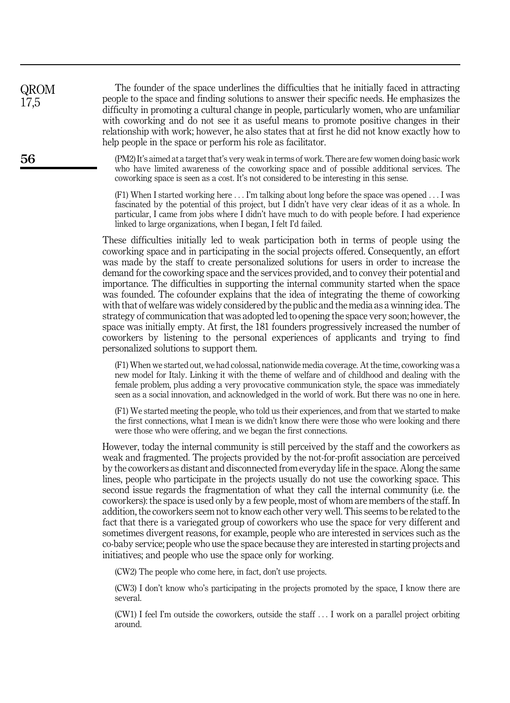The founder of the space underlines the difficulties that he initially faced in attracting people to the space and finding solutions to answer their specific needs. He emphasizes the difficulty in promoting a cultural change in people, particularly women, who are unfamiliar with coworking and do not see it as useful means to promote positive changes in their relationship with work; however, he also states that at first he did not know exactly how to help people in the space or perform his role as facilitator.

(PM2) It's aimed at a target that's very weak in terms of work. There are few women doing basic work who have limited awareness of the coworking space and of possible additional services. The coworking space is seen as a cost. It's not considered to be interesting in this sense.

(F1) When I started working here ... I'm talking about long before the space was opened ... I was fascinated by the potential of this project, but I didn't have very clear ideas of it as a whole. In particular, I came from jobs where I didn't have much to do with people before. I had experience linked to large organizations, when I began, I felt I'd failed.

These difficulties initially led to weak participation both in terms of people using the coworking space and in participating in the social projects offered. Consequently, an effort was made by the staff to create personalized solutions for users in order to increase the demand for the coworking space and the services provided, and to convey their potential and importance. The difficulties in supporting the internal community started when the space was founded. The cofounder explains that the idea of integrating the theme of coworking with that of welfare was widely considered by the public and the media as a winning idea. The strategy of communication that was adopted led to opening the space very soon; however, the space was initially empty. At first, the 181 founders progressively increased the number of coworkers by listening to the personal experiences of applicants and trying to find personalized solutions to support them.

(F1) When we started out, we had colossal, nationwide media coverage. At the time, coworking was a new model for Italy. Linking it with the theme of welfare and of childhood and dealing with the female problem, plus adding a very provocative communication style, the space was immediately seen as a social innovation, and acknowledged in the world of work. But there was no one in here.

(F1) We started meeting the people, who told us their experiences, and from that we started to make the first connections, what I mean is we didn't know there were those who were looking and there were those who were offering, and we began the first connections.

However, today the internal community is still perceived by the staff and the coworkers as weak and fragmented. The projects provided by the not-for-profit association are perceived by the coworkers as distant and disconnected from everyday life in the space. Along the same lines, people who participate in the projects usually do not use the coworking space. This second issue regards the fragmentation of what they call the internal community (i.e. the coworkers): the space is used only by a few people, most of whom are members of the staff. In addition, the coworkers seem not to know each other very well. This seems to be related to the fact that there is a variegated group of coworkers who use the space for very different and sometimes divergent reasons, for example, people who are interested in services such as the co-baby service; people who use the space because they are interested in starting projects and initiatives; and people who use the space only for working.

(CW2) The people who come here, in fact, don't use projects.

(CW3) I don't know who's participating in the projects promoted by the space, I know there are several.

(CW1) I feel I'm outside the coworkers, outside the staff ... I work on a parallel project orbiting around.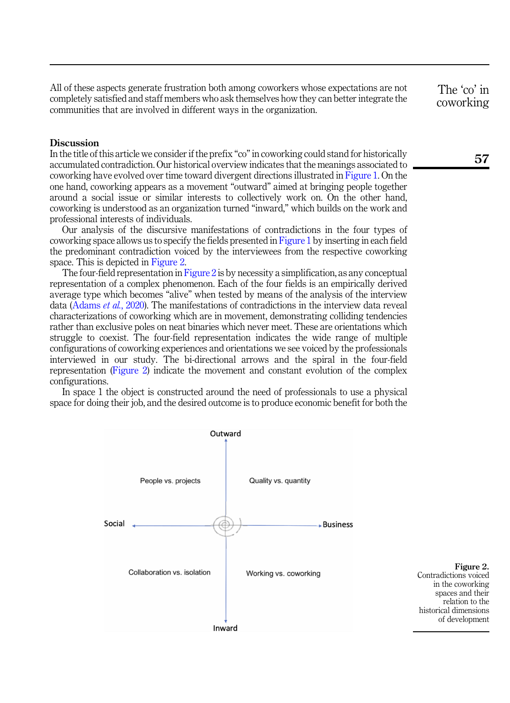<span id="page-19-0"></span>All of these aspects generate frustration both among coworkers whose expectations are not completely satisfied and staff members who ask themselves how they can better integrate the communities that are involved in different ways in the organization.

#### **Discussion**

In the title of this article we consider if the prefix "co" in coworking could stand for historically accumulated contradiction. Our historical overview indicates that the meanings associated to coworking have evolved over time toward divergent directions illustrated in [Figure 1](#page-9-0). On the one hand, coworking appears as a movement "outward" aimed at bringing people together around a social issue or similar interests to collectively work on. On the other hand, coworking is understood as an organization turned "inward," which builds on the work and professional interests of individuals.

Our analysis of the discursive manifestations of contradictions in the four types of coworking space allows us to specify the fields presented in [Figure 1](#page-9-0) by inserting in each field the predominant contradiction voiced by the interviewees from the respective coworking space. This is depicted in Figure 2.

The four-field representation in Figure 2 is by necessity a simplification, as any conceptual representation of a complex phenomenon. Each of the four fields is an empirically derived average type which becomes "alive" when tested by means of the analysis of the interview data ([Adams](#page-22-21) *et al.*, 2020). The manifestations of contradictions in the interview data reveal characterizations of coworking which are in movement, demonstrating colliding tendencies rather than exclusive poles on neat binaries which never meet. These are orientations which struggle to coexist. The four-field representation indicates the wide range of multiple configurations of coworking experiences and orientations we see voiced by the professionals interviewed in our study. The bi-directional arrows and the spiral in the four-field representation (Figure 2) indicate the movement and constant evolution of the complex configurations.

In space 1 the object is constructed around the need of professionals to use a physical space for doing their job, and the desired outcome is to produce economic benefit for both the



Figure 2. Contradictions voiced in the coworking spaces and their relation to the historical dimensions of development

The 'co' in coworking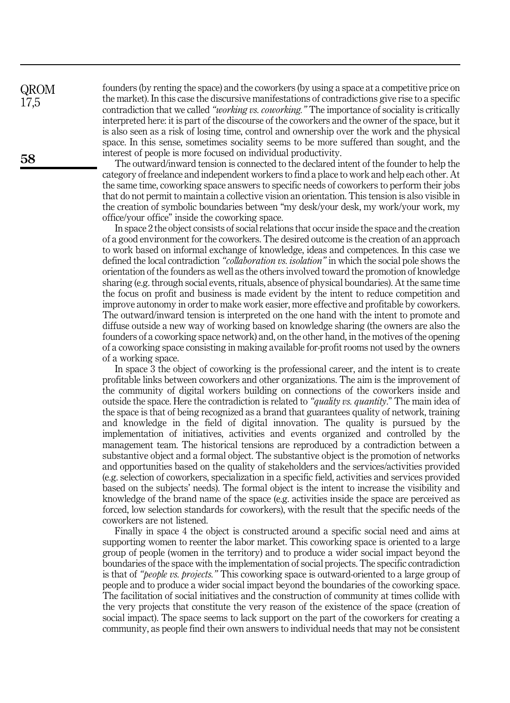founders (by renting the space) and the coworkers (by using a space at a competitive price on the market). In this case the discursive manifestations of contradictions give rise to a specific contradiction that we called "*working vs. coworking.*" The importance of sociality is critically interpreted here: it is part of the discourse of the coworkers and the owner of the space, but it is also seen as a risk of losing time, control and ownership over the work and the physical space. In this sense, sometimes sociality seems to be more suffered than sought, and the interest of people is more focused on individual productivity.

The outward/inward tension is connected to the declared intent of the founder to help the category of freelance and independent workers to find a place to work and help each other. At the same time, coworking space answers to specific needs of coworkers to perform their jobs that do not permit to maintain a collective vision an orientation. This tension is also visible in the creation of symbolic boundaries between "my desk/your desk, my work/your work, my office/your office" inside the coworking space.

In space 2 the object consists of social relations that occur inside the space and the creation of a good environment for the coworkers. The desired outcome is the creation of an approach to work based on informal exchange of knowledge, ideas and competences. In this case we defined the local contradiction "*collaboration vs. isolation*" in which the social pole shows the orientation of the founders as well as the others involved toward the promotion of knowledge sharing (e.g. through social events, rituals, absence of physical boundaries). At the same time the focus on profit and business is made evident by the intent to reduce competition and improve autonomy in order to make work easier, more effective and profitable by coworkers. The outward/inward tension is interpreted on the one hand with the intent to promote and diffuse outside a new way of working based on knowledge sharing (the owners are also the founders of a coworking space network) and, on the other hand, in the motives of the opening of a coworking space consisting in making available for-profit rooms not used by the owners of a working space.

In space 3 the object of coworking is the professional career, and the intent is to create profitable links between coworkers and other organizations. The aim is the improvement of the community of digital workers building on connections of the coworkers inside and outside the space. Here the contradiction is related to "quality vs. quantity." The main idea of the space is that of being recognized as a brand that guarantees quality of network, training and knowledge in the field of digital innovation. The quality is pursued by the implementation of initiatives, activities and events organized and controlled by the management team. The historical tensions are reproduced by a contradiction between a substantive object and a formal object. The substantive object is the promotion of networks and opportunities based on the quality of stakeholders and the services/activities provided (e.g. selection of coworkers, specialization in a specific field, activities and services provided based on the subjects' needs). The formal object is the intent to increase the visibility and knowledge of the brand name of the space (e.g. activities inside the space are perceived as forced, low selection standards for coworkers), with the result that the specific needs of the coworkers are not listened.

Finally in space 4 the object is constructed around a specific social need and aims at supporting women to reenter the labor market. This coworking space is oriented to a large group of people (women in the territory) and to produce a wider social impact beyond the boundaries of the space with the implementation of social projects. The specific contradiction is that of "*people vs. projects.*" This coworking space is outward-oriented to a large group of people and to produce a wider social impact beyond the boundaries of the coworking space. The facilitation of social initiatives and the construction of community at times collide with the very projects that constitute the very reason of the existence of the space (creation of social impact). The space seems to lack support on the part of the coworkers for creating a community, as people find their own answers to individual needs that may not be consistent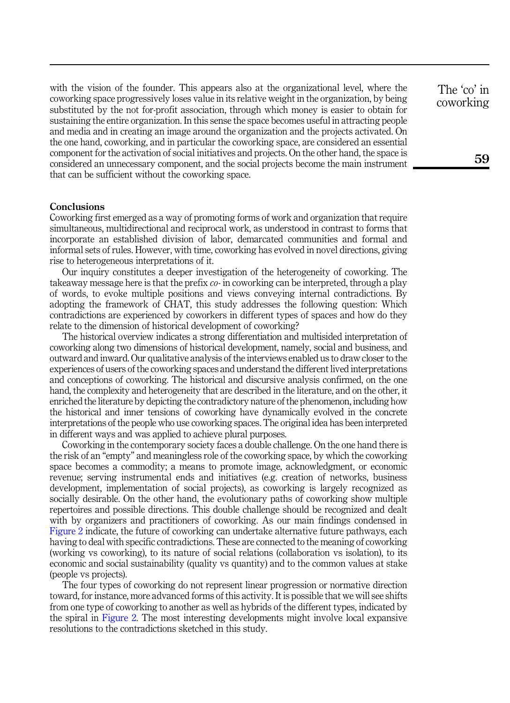with the vision of the founder. This appears also at the organizational level, where the coworking space progressively loses value in its relative weight in the organization, by being substituted by the not for-profit association, through which money is easier to obtain for sustaining the entire organization. In this sense the space becomes useful in attracting people and media and in creating an image around the organization and the projects activated. On the one hand, coworking, and in particular the coworking space, are considered an essential component for the activation of social initiatives and projects. On the other hand, the space is considered an unnecessary component, and the social projects become the main instrument that can be sufficient without the coworking space.

## **Conclusions**

Coworking first emerged as a way of promoting forms of work and organization that require simultaneous, multidirectional and reciprocal work, as understood in contrast to forms that incorporate an established division of labor, demarcated communities and formal and informal sets of rules. However, with time, coworking has evolved in novel directions, giving rise to heterogeneous interpretations of it.

Our inquiry constitutes a deeper investigation of the heterogeneity of coworking. The takeaway message here is that the prefix  $co$ - in coworking can be interpreted, through a play of words, to evoke multiple positions and views conveying internal contradictions. By adopting the framework of CHAT, this study addresses the following question: Which contradictions are experienced by coworkers in different types of spaces and how do they relate to the dimension of historical development of coworking?

The historical overview indicates a strong differentiation and multisided interpretation of coworking along two dimensions of historical development, namely, social and business, and outward and inward. Our qualitative analysis of the interviews enabled us to draw closer to the experiences of users of the coworking spaces and understand the different lived interpretations and conceptions of coworking. The historical and discursive analysis confirmed, on the one hand, the complexity and heterogeneity that are described in the literature, and on the other, it enriched the literature by depicting the contradictory nature of the phenomenon, including how the historical and inner tensions of coworking have dynamically evolved in the concrete interpretations of the people who use coworking spaces. The original idea has been interpreted in different ways and was applied to achieve plural purposes.

Coworking in the contemporary society faces a double challenge. On the one hand there is the risk of an "empty" and meaningless role of the coworking space, by which the coworking space becomes a commodity; a means to promote image, acknowledgment, or economic revenue; serving instrumental ends and initiatives (e.g. creation of networks, business development, implementation of social projects), as coworking is largely recognized as socially desirable. On the other hand, the evolutionary paths of coworking show multiple repertoires and possible directions. This double challenge should be recognized and dealt with by organizers and practitioners of coworking. As our main findings condensed in [Figure 2](#page-19-0) indicate, the future of coworking can undertake alternative future pathways, each having to deal with specific contradictions. These are connected to the meaning of coworking (working vs coworking), to its nature of social relations (collaboration vs isolation), to its economic and social sustainability (quality vs quantity) and to the common values at stake (people vs projects).

The four types of coworking do not represent linear progression or normative direction toward, for instance, more advanced forms of this activity. It is possible that we will see shifts from one type of coworking to another as well as hybrids of the different types, indicated by the spiral in [Figure 2.](#page-19-0) The most interesting developments might involve local expansive resolutions to the contradictions sketched in this study.

The 'co' in coworking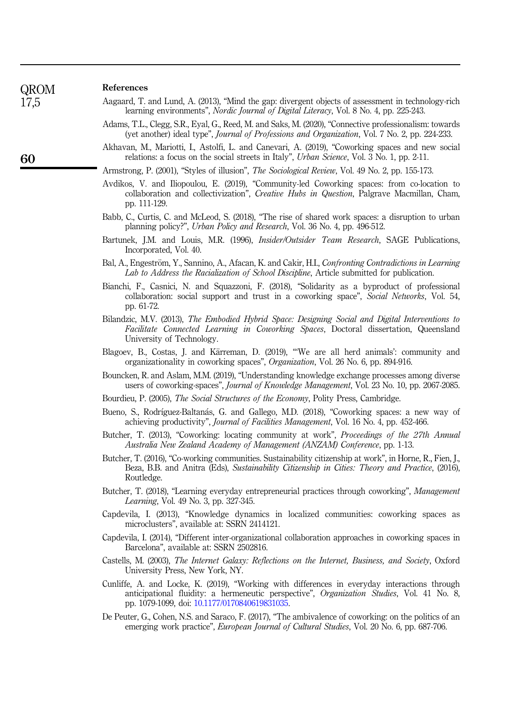| QROM |
|------|
| 7 !  |

## References

- <span id="page-22-15"></span>Aagaard, T. and Lund, A. (2013), "Mind the gap: divergent objects of assessment in technology-rich learning environments", Nordic Journal of Digital Literacy, Vol. 8 No. 4, pp. 225-243.
- <span id="page-22-21"></span>Adams, T.L., Clegg, S.R., Eyal, G., Reed, M. and Saks, M. (2020), "Connective professionalism: towards (yet another) ideal type", Journal of Professions and Organization, Vol. 7 No. 2, pp. 224-233.
- <span id="page-22-5"></span>Akhavan, M., Mariotti, I., Astolfi, L. and Canevari, A. (2019), "Coworking spaces and new social relations: a focus on the social streets in Italy", *Urban Science*, Vol. 3 No. 1, pp. 2-11.

<span id="page-22-20"></span>Armstrong, P. (2001), "Styles of illusion", The Sociological Review, Vol. 49 No. 2, pp. 155-173.

- <span id="page-22-0"></span>Avdikos, V. and Iliopoulou, E. (2019), "Community-led Coworking spaces: from co-location to collaboration and collectivization", Creative Hubs in Question, Palgrave Macmillan, Cham, pp. 111-129.
- <span id="page-22-4"></span>Babb, C., Curtis, C. and McLeod, S. (2018), "The rise of shared work spaces: a disruption to urban planning policy?", Urban Policy and Research, Vol. 36 No. 4, pp. 496-512.
- <span id="page-22-17"></span>Bartunek, J.M. and Louis, M.R. (1996), Insider/Outsider Team Research, SAGE Publications, Incorporated, Vol. 40.
- <span id="page-22-19"></span>Bal, A., Engeström, Y., Sannino, A., Afacan, K. and Cakir, H.I., Confronting Contradictions in Learning Lab to Address the Racialization of School Discipline, Article submitted for publication.
- <span id="page-22-6"></span>Bianchi, F., Casnici, N. and Squazzoni, F. (2018), "Solidarity as a byproduct of professional collaboration: social support and trust in a coworking space", Social Networks, Vol. 54, pp. 61-72.
- <span id="page-22-1"></span>Bilandzic, M.V. (2013), The Embodied Hybrid Space: Designing Social and Digital Interventions to Facilitate Connected Learning in Coworking Spaces, Doctoral dissertation, Queensland University of Technology.
- <span id="page-22-9"></span>Blagoev, B., Costas, J. and Kärreman, D. (2019), "We are all herd animals': community and organizationality in coworking spaces", Organization, Vol. 26 No. 6, pp. 894-916.
- <span id="page-22-14"></span>Bouncken, R. and Aslam, M.M. (2019), "Understanding knowledge exchange processes among diverse users of coworking-spaces", Journal of Knowledge Management, Vol. 23 No. 10, pp. 2067-2085.
- <span id="page-22-12"></span>Bourdieu, P. (2005), The Social Structures of the Economy, Polity Press, Cambridge.
- <span id="page-22-11"></span>Bueno, S., Rodríguez-Baltanás, G. and Gallego, M.D. (2018), "Coworking spaces: a new way of achieving productivity", Journal of Facilities Management, Vol. 16 No. 4, pp. 452-466.
- <span id="page-22-7"></span>Butcher, T. (2013), "Coworking: locating community at work", *Proceedings of the 27th Annual* Australia New Zealand Academy of Management (ANZAM) Conference, pp. 1-13.
- <span id="page-22-16"></span>Butcher, T. (2016), "Co-working communities. Sustainability citizenship at work", in Horne, R., Fien, J., Beza, B.B. and Anitra (Eds), Sustainability Citizenship in Cities: Theory and Practice, (2016), Routledge.
- <span id="page-22-13"></span>Butcher, T. (2018), "Learning everyday entrepreneurial practices through coworking", Management Learning, Vol. 49 No. 3, pp. 327-345.
- <span id="page-22-2"></span>Capdevila, I. (2013), "Knowledge dynamics in localized communities: coworking spaces as microclusters", available at: SSRN 2414121.
- <span id="page-22-10"></span>Capdevila, I. (2014), "Different inter-organizational collaboration approaches in coworking spaces in Barcelona", available at: SSRN 2502816.
- <span id="page-22-3"></span>Castells, M. (2003), The Internet Galaxy: Reflections on the Internet, Business, and Society, Oxford University Press, New York, NY.
- <span id="page-22-18"></span>Cunliffe, A. and Locke, K. (2019), "Working with differences in everyday interactions through anticipational fluidity: a hermeneutic perspective", Organization Studies, Vol. 41 No. 8, pp. 1079-1099, doi: [10.1177/0170840619831035](https://doi.org/10.1177/0170840619831035).
- <span id="page-22-8"></span>De Peuter, G., Cohen, N.S. and Saraco, F. (2017), "The ambivalence of coworking: on the politics of an emerging work practice", *European Journal of Cultural Studies*, Vol. 20 No. 6, pp. 687-706.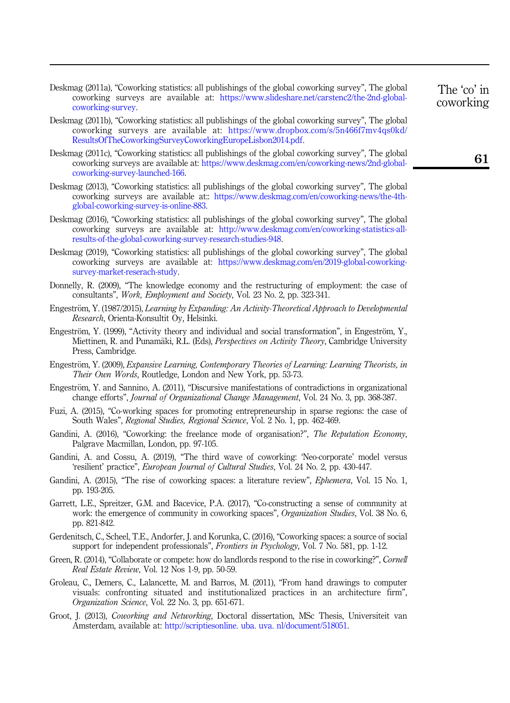<span id="page-23-15"></span>Deskmag (2011a), "Coworking statistics: all publishings of the global coworking survey", The global coworking surveys are available at: [https://www.slideshare.net/carstenc2/the-2nd-global](https://www.slideshare.net/carstenc2/the-2nd-global-coworking-survey)[coworking-survey.](https://www.slideshare.net/carstenc2/the-2nd-global-coworking-survey)

- <span id="page-23-16"></span>Deskmag (2011b), "Coworking statistics: all publishings of the global coworking survey", The global coworking surveys are available at: [https://www.dropbox.com/s/5n466f7mv4qs0kd/](https://www.dropbox.com/s/5n466f7mv4qs0kd/ResultsOfTheCoworkingSurveyCoworkingEuropeLisbon2014.pdf) [ResultsOfTheCoworkingSurveyCoworkingEuropeLisbon2014.pdf.](https://www.dropbox.com/s/5n466f7mv4qs0kd/ResultsOfTheCoworkingSurveyCoworkingEuropeLisbon2014.pdf)
- <span id="page-23-17"></span>Deskmag (2011c), "Coworking statistics: all publishings of the global coworking survey", The global coworking surveys are available at: [https://www.deskmag.com/en/coworking-news/2nd-global](https://www.deskmag.com/en/coworking-news/2nd-global-coworking-survey-launched-166)[coworking-survey-launched-166.](https://www.deskmag.com/en/coworking-news/2nd-global-coworking-survey-launched-166)
- <span id="page-23-14"></span>Deskmag (2013), "Coworking statistics: all publishings of the global coworking survey", The global coworking surveys are available at:: [https://www.deskmag.com/en/coworking-news/the-4th](https://www.deskmag.com/en/coworking-news/the-4th-global-coworking-survey-is-online-883)[global-coworking-survey-is-online-883](https://www.deskmag.com/en/coworking-news/the-4th-global-coworking-survey-is-online-883).
- <span id="page-23-18"></span>Deskmag (2016), "Coworking statistics: all publishings of the global coworking survey", The global coworking surveys are available at: [http://www.deskmag.com/en/coworking-statistics-all](http://www.deskmag.com/en/coworking-statistics-all-results-of-the-global-coworking-survey-research-studies-948)[results-of-the-global-coworking-survey-research-studies-948](http://www.deskmag.com/en/coworking-statistics-all-results-of-the-global-coworking-survey-research-studies-948).
- <span id="page-23-0"></span>Deskmag (2019), "Coworking statistics: all publishings of the global coworking survey", The global coworking surveys are available at: [https://www.deskmag.com/en/2019-global-coworking](https://www.deskmag.com/en/2019-global-coworking-survey-market-reserach-study)[survey-market-reserach-study](https://www.deskmag.com/en/2019-global-coworking-survey-market-reserach-study).
- <span id="page-23-13"></span>Donnelly, R. (2009), "The knowledge economy and the restructuring of employment: the case of consultants", Work, Employment and Society, Vol. 23 No. 2, pp. 323-341.
- <span id="page-23-1"></span>Engeström, Y. (1987/2015), Learning by Expanding: An Activity-Theoretical Approach to Developmental Research, Orienta-Konsultit Oy, Helsinki.
- <span id="page-23-19"></span>Engeström, Y. (1999), "Activity theory and individual and social transformation", in Engeström, Y., Miettinen, R. and Punamäki, R.L. (Eds), *Perspectives on Activity Theory*, Cambridge University Press, Cambridge.
- <span id="page-23-12"></span>Engeström, Y. (2009), Expansive Learning, Contemporary Theories of Learning: Learning Theorists, in Their Own Words, Routledge, London and New York, pp. 53-73.
- <span id="page-23-10"></span>Engeström, Y. and Sannino, A. (2011), "Discursive manifestations of contradictions in organizational change efforts", Journal of Organizational Change Management, Vol. 24 No. 3, pp. 368-387.
- <span id="page-23-6"></span>Fuzi, A. (2015), "Co-working spaces for promoting entrepreneurship in sparse regions: the case of South Wales", Regional Studies, Regional Science, Vol. 2 No. 1, pp. 462-469.
- <span id="page-23-8"></span>Gandini, A. (2016), "Coworking: the freelance mode of organisation?", The Reputation Economy, Palgrave Macmillan, London, pp. 97-105.
- <span id="page-23-9"></span>Gandini, A. and Cossu, A. (2019), "The third wave of coworking: 'Neo-corporate' model versus 'resilient' practice", European Journal of Cultural Studies, Vol. 24 No. 2, pp. 430-447.
- <span id="page-23-3"></span>Gandini, A. (2015), "The rise of coworking spaces: a literature review", *Ephemera*, Vol. 15 No. 1, pp. 193-205.
- <span id="page-23-7"></span>Garrett, L.E., Spreitzer, G.M. and Bacevice, P.A. (2017), "Co-constructing a sense of community at work: the emergence of community in coworking spaces", *Organization Studies*, Vol. 38 No. 6, pp. 821-842.
- <span id="page-23-2"></span>Gerdenitsch, C., Scheel, T.E., Andorfer, J. and Korunka, C. (2016), "Coworking spaces: a source of social support for independent professionals", Frontiers in Psychology, Vol. 7 No. 581, pp. 1-12.
- <span id="page-23-4"></span>Green, R. (2014), "Collaborate or compete: how do landlords respond to the rise in coworking?", *Cornell* Real Estate Review, Vol. 12 Nos 1-9, pp. 50-59.
- <span id="page-23-11"></span>Groleau, C., Demers, C., Lalancette, M. and Barros, M. (2011), "From hand drawings to computer visuals: confronting situated and institutionalized practices in an architecture firm", Organization Science, Vol. 22 No. 3, pp. 651-671.
- <span id="page-23-5"></span>Groot, J. (2013), Coworking and Networking, Doctoral dissertation, MSc Thesis, Universiteit van Amsterdam, available at: <http://scriptiesonline. uba. uva. nl/document/518051>.

The 'co' in coworking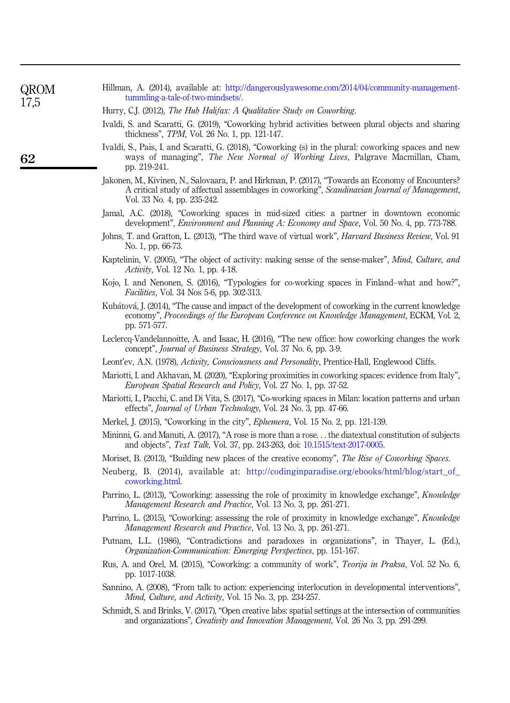| 17,5 | tumming-a-tale-or-two-minusets/.                                                                                                                                                                                                  |
|------|-----------------------------------------------------------------------------------------------------------------------------------------------------------------------------------------------------------------------------------|
|      | Hurry, C.J. (2012), The Hub Halifax: A Qualitative Study on Coworking.                                                                                                                                                            |
|      | Ivaldi, S. and Scaratti, G. (2019), "Coworking hybrid activities between plural objects and sharing<br>thickness", TPM, Vol. 26 No. 1, pp. 121-147.                                                                               |
| 62   | Ivaldi, S., Pais, I. and Scaratti, G. (2018), "Coworking (s) in the plural: coworking spaces and new<br>ways of managing", The New Normal of Working Lives, Palgrave Macmillan, Cham,<br>pp. 219-241.                             |
|      | Jakonen, M., Kivinen, N., Salovaara, P. and Hirkman, P. (2017), "Towards an Economy of Encounters?<br>A critical study of affectual assemblages in coworking", Scandinavian Journal of Management,<br>Vol. 33 No. 4, pp. 235-242. |
|      | Jamal, A.C. (2018), "Coworking spaces in mid-sized cities: a partner in downtown economic<br>development", <i>Environment and Planning A: Economy and Space</i> , Vol. 50 No. 4, pp. 773-788.                                     |
|      | Johns, T. and Gratton, L. (2013), "The third wave of virtual work", <i>Harvard Business Review</i> , Vol. 91<br>No. 1, pp. 66-73.                                                                                                 |
|      | Kaptelinin, V. (2005), "The object of activity: making sense of the sense-maker", Mind, Culture, and<br>Activity, Vol. 12 No. 1, pp. 4-18.                                                                                        |
|      | Kojo, I. and Nenonen, S. (2016), "Typologies for co-working spaces in Finland–what and how?",<br><i>Facilities</i> , Vol. 34 Nos 5-6, pp. 302-313.                                                                                |
|      | Kubátová, J. (2014), "The cause and impact of the development of coworking in the current knowledge<br>economy", Proceedings of the European Conference on Knowledge Management, ECKM, Vol. 2,<br>pp. 571-577.                    |
|      | Leclercq-Vandelannoitte, A. and Isaac, H. (2016), "The new office: how coworking changes the work<br>concept", Journal of Business Strategy, Vol. 37 No. 6, pp. 3-9.                                                              |
|      | Leont'ev, A.N. (1978), Activity, Consciousness and Personality, Prentice-Hall, Englewood Cliffs.                                                                                                                                  |
|      | Mariotti, I. and Akhavan, M. (2020), "Exploring proximities in coworking spaces: evidence from Italy",<br>European Spatial Research and Policy, Vol. 27 No. 1, pp. 37-52.                                                         |
|      | Mariotti, I., Pacchi, C. and Di Vita, S. (2017), "Co-working spaces in Milan: location patterns and urban<br>effects", Journal of Urban Technology, Vol. 24 No. 3, pp. 47-66.                                                     |
|      | Merkel, J. (2015), "Coworking in the city", <i>Ephemera</i> , Vol. 15 No. 2, pp. 121-139.                                                                                                                                         |
|      | Mininni, G. and Manuti, A. (2017), "A rose is more than a rose. the diatextual constitution of subjects<br>and objects", Text Talk, Vol. 37, pp. 243-263, doi: 10.1515/text-2017-0005.                                            |
|      | Moriset, B. (2013), "Building new places of the creative economy", The Rise of Coworking Spaces.                                                                                                                                  |
|      | Neuberg, B. (2014), available at: http://codinginparadise.org/ebooks/html/blog/start_of_<br>coworking.html.                                                                                                                       |
|      | Parrino, L. (2013), "Coworking: assessing the role of proximity in knowledge exchange", <i>Knowledge</i><br><i>Management Research and Practice, Vol. 13 No. 3, pp. 261-271.</i>                                                  |
|      | Parrino, L. (2015), "Coworking: assessing the role of proximity in knowledge exchange", Knowledge<br><i>Management Research and Practice, Vol. 13 No. 3, pp. 261-271.</i>                                                         |
|      | Putnam, L.L. (1986), "Contradictions and paradoxes in organizations", in Thayer, L. (Ed.),<br>Organization-Communication: Emerging Perspectives, pp. 151-167.                                                                     |
|      | Rus, A. and Orel, M. (2015), "Coworking: a community of work", Teorija in Praksa, Vol. 52 No. 6,<br>pp. 1017-1038.                                                                                                                |

<span id="page-24-20"></span><span id="page-24-19"></span>Hillman, A. (2014), available at: [http://dangerouslyawesome.com/2014/04/community-management-](http://dangerouslyawesome.com/2014/04/%20community-management-tummling-a-tale-of-two-mindsets/)

<span id="page-24-21"></span><span id="page-24-17"></span><span id="page-24-13"></span><span id="page-24-11"></span><span id="page-24-10"></span><span id="page-24-5"></span><span id="page-24-3"></span><span id="page-24-2"></span><span id="page-24-0"></span>[tummling-a-tale-of-two-mindsets/](http://dangerouslyawesome.com/2014/04/%20community-management-tummling-a-tale-of-two-mindsets/).

QROM

- <span id="page-24-23"></span><span id="page-24-22"></span><span id="page-24-18"></span><span id="page-24-16"></span><span id="page-24-15"></span><span id="page-24-14"></span><span id="page-24-12"></span><span id="page-24-9"></span><span id="page-24-7"></span><span id="page-24-6"></span><span id="page-24-4"></span><span id="page-24-1"></span>Sannino, A. (2008), "From talk to action: experiencing interlocution in developmental interventions", Mind, Culture, and Activity, Vol. 15 No. 3, pp. 234-257.
- <span id="page-24-8"></span>Schmidt, S. and Brinks, V. (2017), "Open creative labs: spatial settings at the intersection of communities and organizations", Creativity and Innovation Management, Vol. 26 No. 3, pp. 291-299.